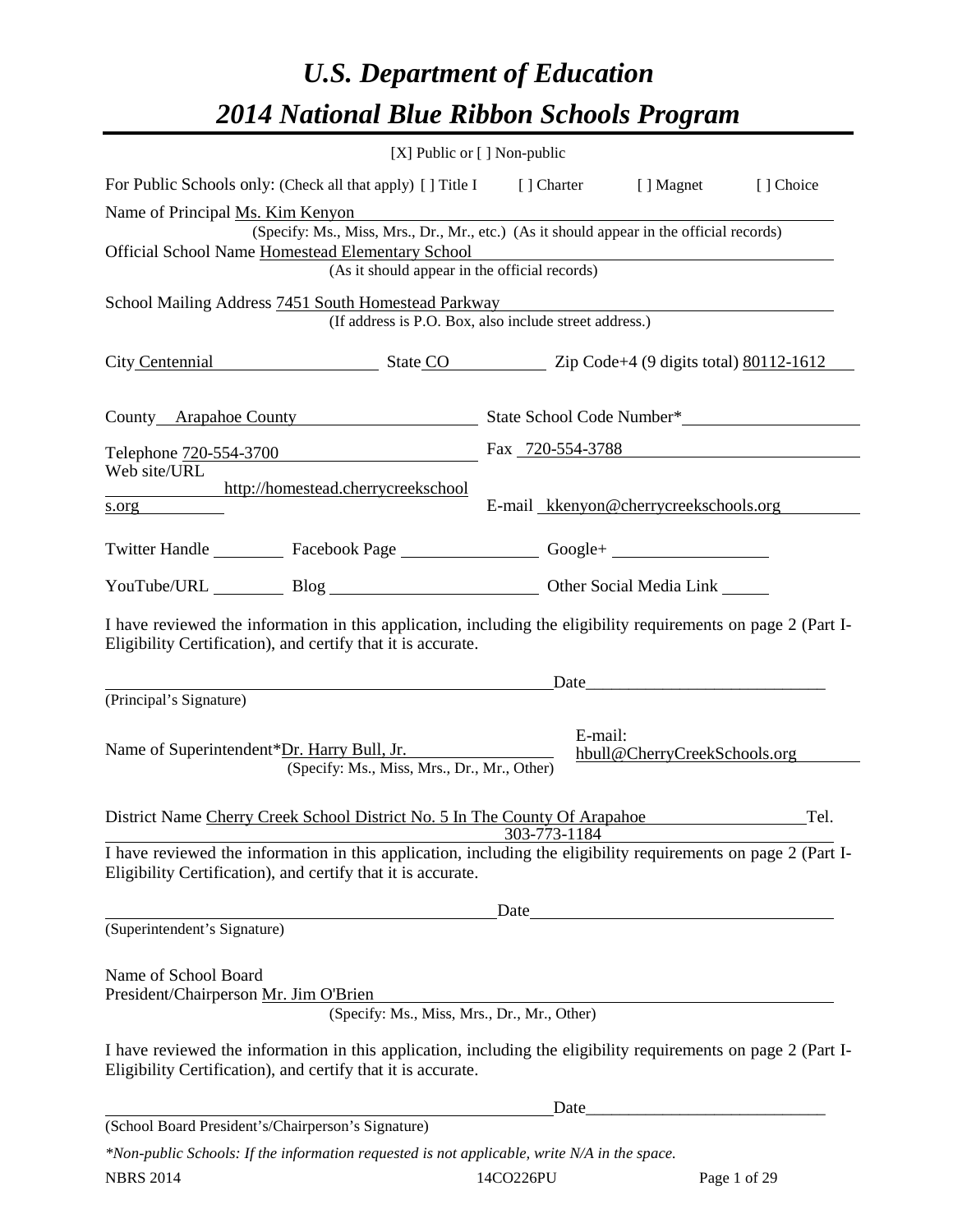# *U.S. Department of Education 2014 National Blue Ribbon Schools Program*

| [X] Public or [] Non-public                                                                                                                                                                                                                                                                                                                                                                                                                                               |                                                  |         |                                       |           |  |  |  |  |
|---------------------------------------------------------------------------------------------------------------------------------------------------------------------------------------------------------------------------------------------------------------------------------------------------------------------------------------------------------------------------------------------------------------------------------------------------------------------------|--------------------------------------------------|---------|---------------------------------------|-----------|--|--|--|--|
| For Public Schools only: (Check all that apply) [] Title I [] Charter [] Magnet                                                                                                                                                                                                                                                                                                                                                                                           |                                                  |         |                                       | [] Choice |  |  |  |  |
| Name of Principal Ms. Kim Kenyon<br><u>and the community of the community of the community of the community of the community of the community of the community of the community of the community of the community of the community of the community of the community</u><br>(Specify: Ms., Miss, Mrs., Dr., Mr., etc.) (As it should appear in the official records)<br>Official School Name Homestead Elementary School<br>(As it should appear in the official records) |                                                  |         |                                       |           |  |  |  |  |
| School Mailing Address 7451 South Homestead Parkway<br>(If address is P.O. Box, also include street address.)                                                                                                                                                                                                                                                                                                                                                             |                                                  |         |                                       |           |  |  |  |  |
| City Centennial State CO Zip Code+4 (9 digits total) 80112-1612                                                                                                                                                                                                                                                                                                                                                                                                           |                                                  |         |                                       |           |  |  |  |  |
|                                                                                                                                                                                                                                                                                                                                                                                                                                                                           | County Arapahoe County State School Code Number* |         |                                       |           |  |  |  |  |
| Telephone 720-554-3700 Fax 720-554-3788                                                                                                                                                                                                                                                                                                                                                                                                                                   |                                                  |         |                                       |           |  |  |  |  |
| Web site/URL<br>http://homestead.cherrycreekschool<br>s.org                                                                                                                                                                                                                                                                                                                                                                                                               |                                                  |         | E-mail kkenyon@cherrycreekschools.org |           |  |  |  |  |
| Twitter Handle ___________ Facebook Page ___________________ Google+ ____________                                                                                                                                                                                                                                                                                                                                                                                         |                                                  |         |                                       |           |  |  |  |  |
| YouTube/URL Blog Blog Discount Other Social Media Link                                                                                                                                                                                                                                                                                                                                                                                                                    |                                                  |         |                                       |           |  |  |  |  |
| I have reviewed the information in this application, including the eligibility requirements on page 2 (Part I-<br>Eligibility Certification), and certify that it is accurate.                                                                                                                                                                                                                                                                                            |                                                  |         |                                       |           |  |  |  |  |
| <u>Date</u>                                                                                                                                                                                                                                                                                                                                                                                                                                                               |                                                  |         |                                       |           |  |  |  |  |
| (Principal's Signature)<br>Name of Superintendent*Dr. Harry Bull, Jr.<br>(Specify: Ms., Miss, Mrs., Dr., Mr., Other)                                                                                                                                                                                                                                                                                                                                                      |                                                  | E-mail: | hbull@CherryCreekSchools.org          |           |  |  |  |  |
| District Name Cherry Creek School District No. 5 In The County Of Arapahoe                                                                                                                                                                                                                                                                                                                                                                                                |                                                  |         |                                       | Tel.      |  |  |  |  |
| Thave reviewed the information in this application, including the eligibility requirements on page 2 (Part I-<br>Eligibility Certification), and certify that it is accurate.                                                                                                                                                                                                                                                                                             |                                                  |         |                                       |           |  |  |  |  |
|                                                                                                                                                                                                                                                                                                                                                                                                                                                                           |                                                  |         |                                       |           |  |  |  |  |
| (Superintendent's Signature)                                                                                                                                                                                                                                                                                                                                                                                                                                              |                                                  |         |                                       |           |  |  |  |  |
| Name of School Board<br>President/Chairperson Mr. Jim O'Brien<br>(Specify: Ms., Miss, Mrs., Dr., Mr., Other)<br>I have reviewed the information in this application, including the eligibility requirements on page 2 (Part I-                                                                                                                                                                                                                                            |                                                  |         |                                       |           |  |  |  |  |
| Eligibility Certification), and certify that it is accurate.                                                                                                                                                                                                                                                                                                                                                                                                              |                                                  |         |                                       |           |  |  |  |  |
| (School Board President's/Chairperson's Signature)                                                                                                                                                                                                                                                                                                                                                                                                                        |                                                  |         |                                       |           |  |  |  |  |

*\*Non-public Schools: If the information requested is not applicable, write N/A in the space.*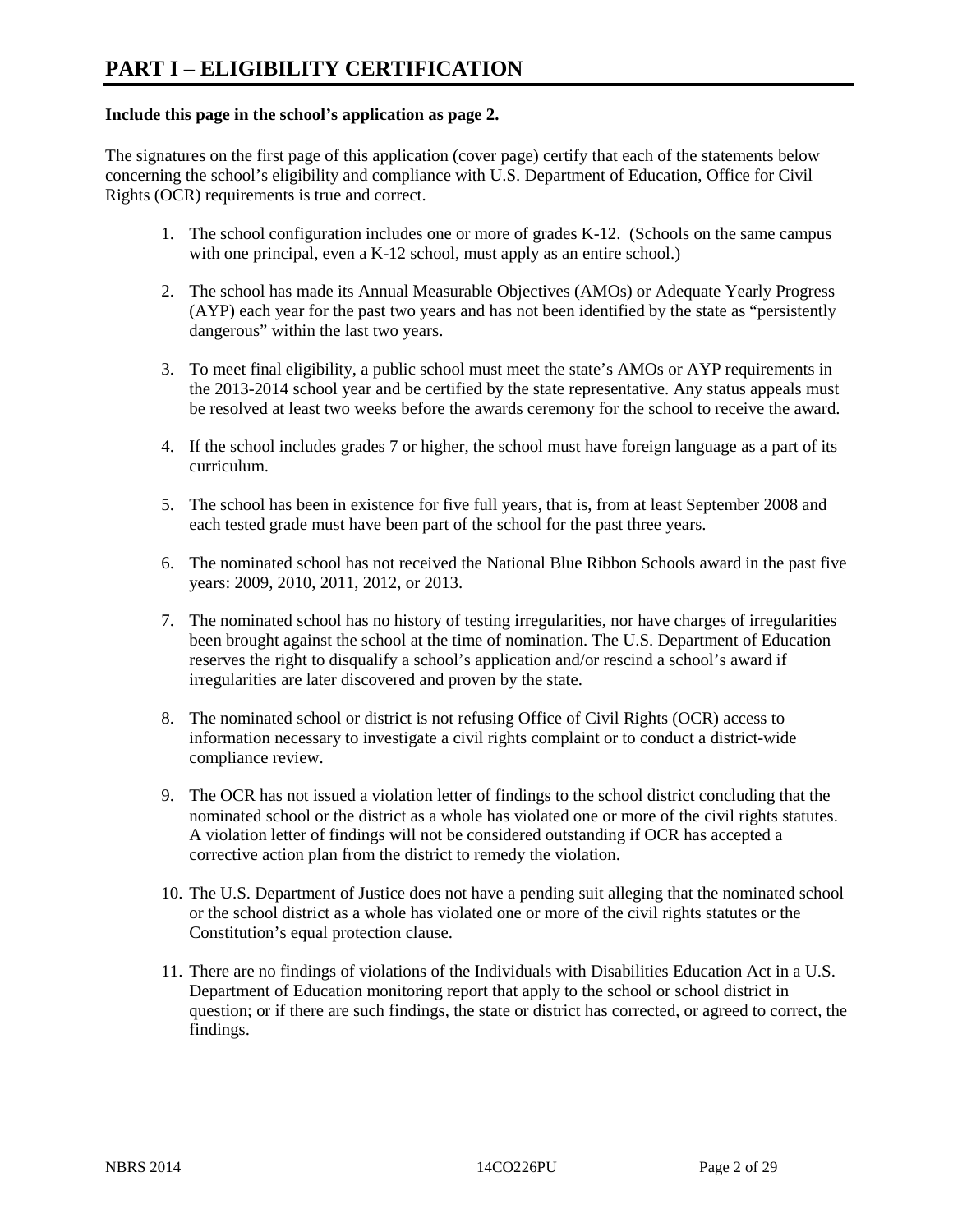#### **Include this page in the school's application as page 2.**

The signatures on the first page of this application (cover page) certify that each of the statements below concerning the school's eligibility and compliance with U.S. Department of Education, Office for Civil Rights (OCR) requirements is true and correct.

- 1. The school configuration includes one or more of grades K-12. (Schools on the same campus with one principal, even a K-12 school, must apply as an entire school.)
- 2. The school has made its Annual Measurable Objectives (AMOs) or Adequate Yearly Progress (AYP) each year for the past two years and has not been identified by the state as "persistently dangerous" within the last two years.
- 3. To meet final eligibility, a public school must meet the state's AMOs or AYP requirements in the 2013-2014 school year and be certified by the state representative. Any status appeals must be resolved at least two weeks before the awards ceremony for the school to receive the award.
- 4. If the school includes grades 7 or higher, the school must have foreign language as a part of its curriculum.
- 5. The school has been in existence for five full years, that is, from at least September 2008 and each tested grade must have been part of the school for the past three years.
- 6. The nominated school has not received the National Blue Ribbon Schools award in the past five years: 2009, 2010, 2011, 2012, or 2013.
- 7. The nominated school has no history of testing irregularities, nor have charges of irregularities been brought against the school at the time of nomination. The U.S. Department of Education reserves the right to disqualify a school's application and/or rescind a school's award if irregularities are later discovered and proven by the state.
- 8. The nominated school or district is not refusing Office of Civil Rights (OCR) access to information necessary to investigate a civil rights complaint or to conduct a district-wide compliance review.
- 9. The OCR has not issued a violation letter of findings to the school district concluding that the nominated school or the district as a whole has violated one or more of the civil rights statutes. A violation letter of findings will not be considered outstanding if OCR has accepted a corrective action plan from the district to remedy the violation.
- 10. The U.S. Department of Justice does not have a pending suit alleging that the nominated school or the school district as a whole has violated one or more of the civil rights statutes or the Constitution's equal protection clause.
- 11. There are no findings of violations of the Individuals with Disabilities Education Act in a U.S. Department of Education monitoring report that apply to the school or school district in question; or if there are such findings, the state or district has corrected, or agreed to correct, the findings.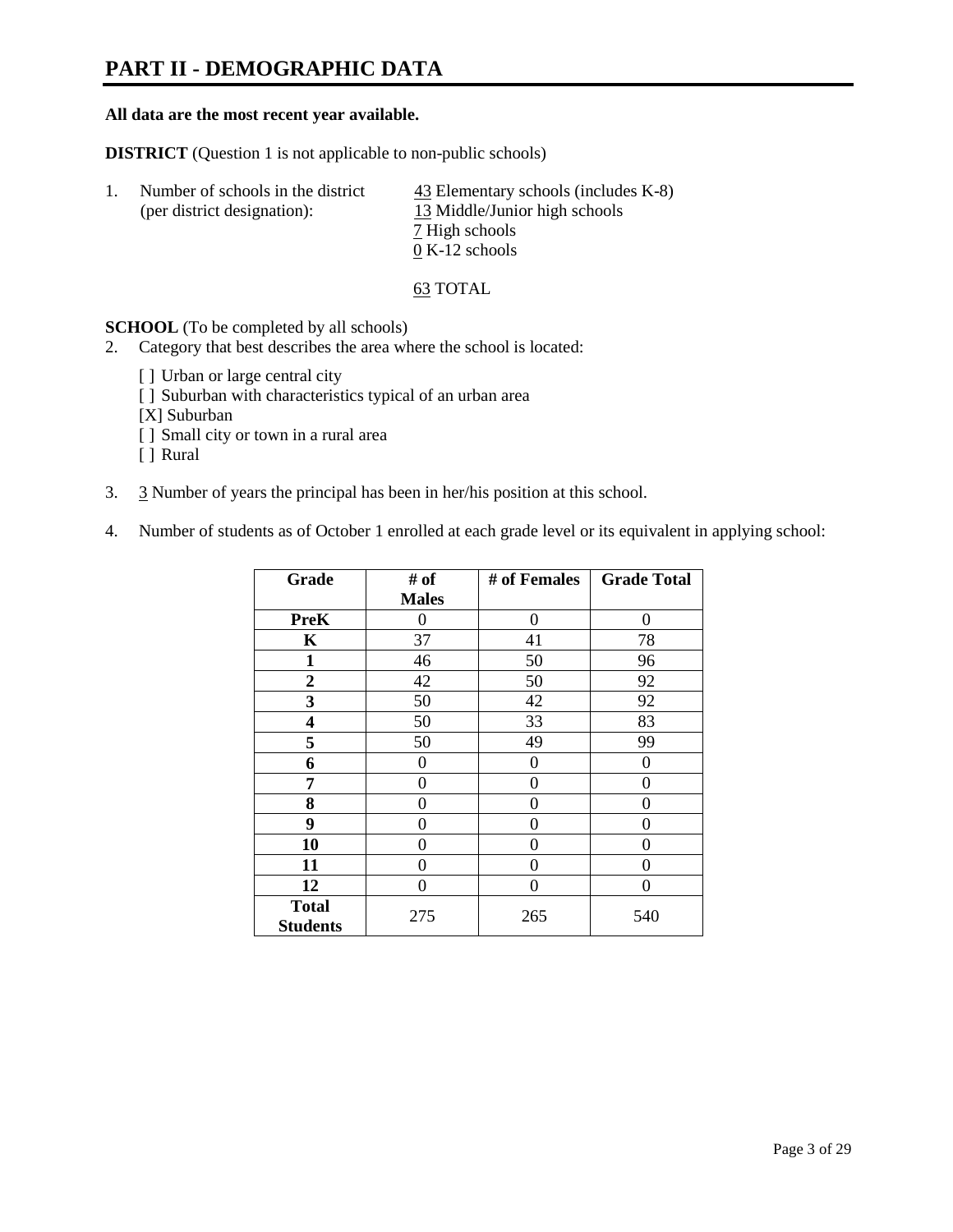### **PART II - DEMOGRAPHIC DATA**

#### **All data are the most recent year available.**

**DISTRICT** (Question 1 is not applicable to non-public schools)

| Number of schools in the district<br>(per district designation): | $\frac{43}{2}$ Elementary schools (includes K-8)<br>13 Middle/Junior high schools |  |
|------------------------------------------------------------------|-----------------------------------------------------------------------------------|--|
|                                                                  | 7 High schools                                                                    |  |
|                                                                  | $0 K-12$ schools                                                                  |  |

63 TOTAL

**SCHOOL** (To be completed by all schools)

- 2. Category that best describes the area where the school is located:
	- [] Urban or large central city
	- [ ] Suburban with characteristics typical of an urban area
	- [X] Suburban
	- [ ] Small city or town in a rural area
	- [ ] Rural
- 3. 3 Number of years the principal has been in her/his position at this school.
- 4. Number of students as of October 1 enrolled at each grade level or its equivalent in applying school:

| Grade                           | # of         | # of Females | <b>Grade Total</b> |
|---------------------------------|--------------|--------------|--------------------|
|                                 | <b>Males</b> |              |                    |
| <b>PreK</b>                     | 0            | $\theta$     | $\Omega$           |
| K                               | 37           | 41           | 78                 |
| $\mathbf{1}$                    | 46           | 50           | 96                 |
| $\overline{2}$                  | 42           | 50           | 92                 |
| 3                               | 50           | 42           | 92                 |
| 4                               | 50           | 33           | 83                 |
| 5                               | 50           | 49           | 99                 |
| 6                               | 0            | 0            | 0                  |
| 7                               | 0            | 0            | 0                  |
| 8                               | 0            | 0            | 0                  |
| 9                               | 0            | 0            | 0                  |
| 10                              | 0            | 0            | 0                  |
| 11                              | 0            | 0            | 0                  |
| 12                              | 0            | 0            | $\theta$           |
| <b>Total</b><br><b>Students</b> | 275          | 265          | 540                |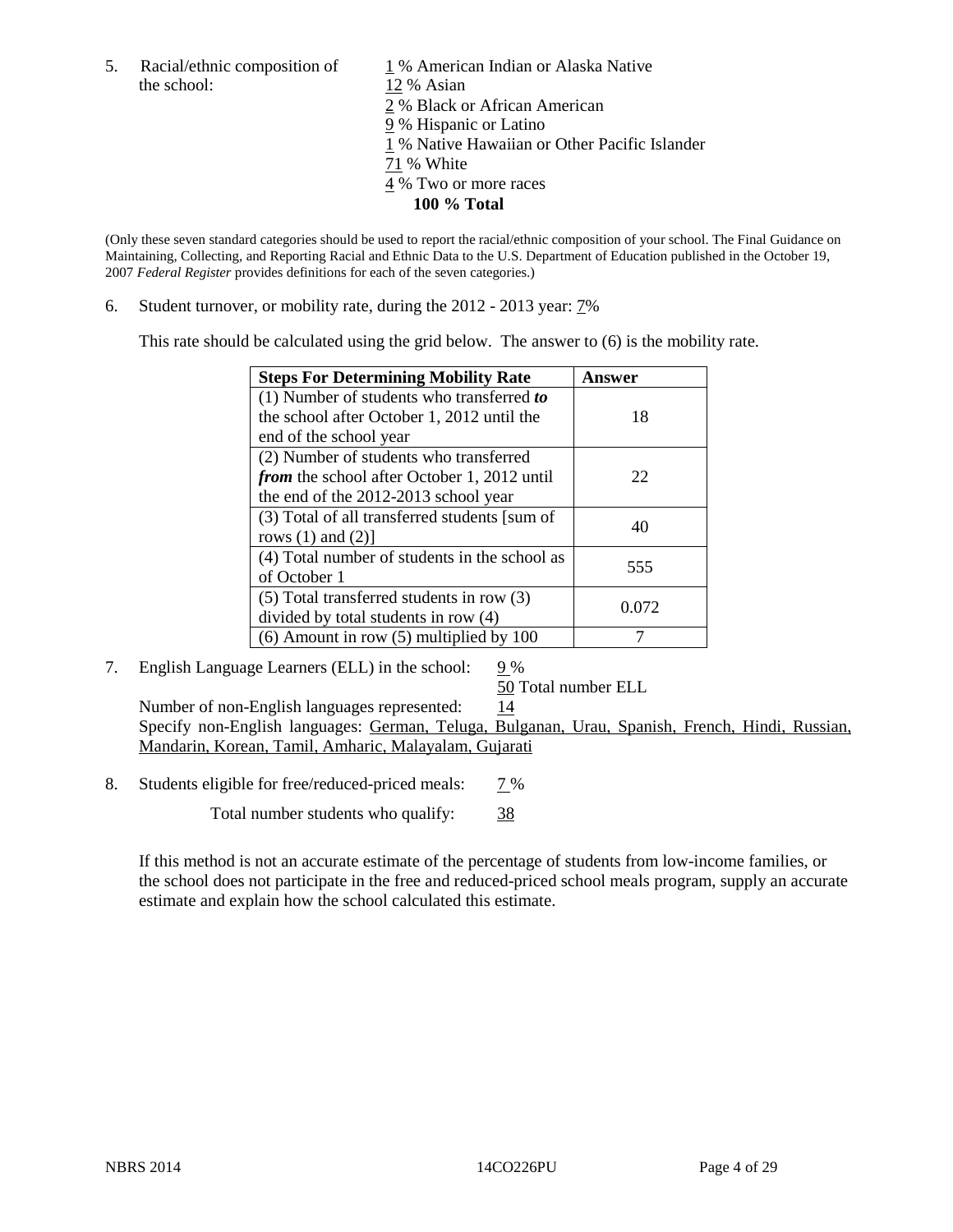the school: 12 % Asian

5. Racial/ethnic composition of  $1\%$  American Indian or Alaska Native 2 % Black or African American 9 % Hispanic or Latino 1 % Native Hawaiian or Other Pacific Islander 71 % White 4 % Two or more races **100 % Total** 

(Only these seven standard categories should be used to report the racial/ethnic composition of your school. The Final Guidance on Maintaining, Collecting, and Reporting Racial and Ethnic Data to the U.S. Department of Education published in the October 19, 2007 *Federal Register* provides definitions for each of the seven categories.)

6. Student turnover, or mobility rate, during the 2012 - 2013 year: 7%

This rate should be calculated using the grid below. The answer to (6) is the mobility rate.

| <b>Steps For Determining Mobility Rate</b>         | Answer |
|----------------------------------------------------|--------|
| (1) Number of students who transferred to          |        |
| the school after October 1, 2012 until the         | 18     |
| end of the school year                             |        |
| (2) Number of students who transferred             |        |
| <i>from</i> the school after October 1, 2012 until | 22     |
| the end of the 2012-2013 school year               |        |
| (3) Total of all transferred students [sum of      | 40     |
| rows $(1)$ and $(2)$ ]                             |        |
| (4) Total number of students in the school as      | 555    |
| of October 1                                       |        |
| $(5)$ Total transferred students in row $(3)$      | 0.072  |
| divided by total students in row (4)               |        |
| $(6)$ Amount in row $(5)$ multiplied by 100        |        |

#### 7. English Language Learners (ELL) in the school:  $9\%$

50 Total number ELL

Number of non-English languages represented: 14 Specify non-English languages: German, Teluga, Bulganan, Urau, Spanish, French, Hindi, Russian, Mandarin, Korean, Tamil, Amharic, Malayalam, Gujarati

8. Students eligible for free/reduced-priced meals: 7%

Total number students who qualify: 38

If this method is not an accurate estimate of the percentage of students from low-income families, or the school does not participate in the free and reduced-priced school meals program, supply an accurate estimate and explain how the school calculated this estimate.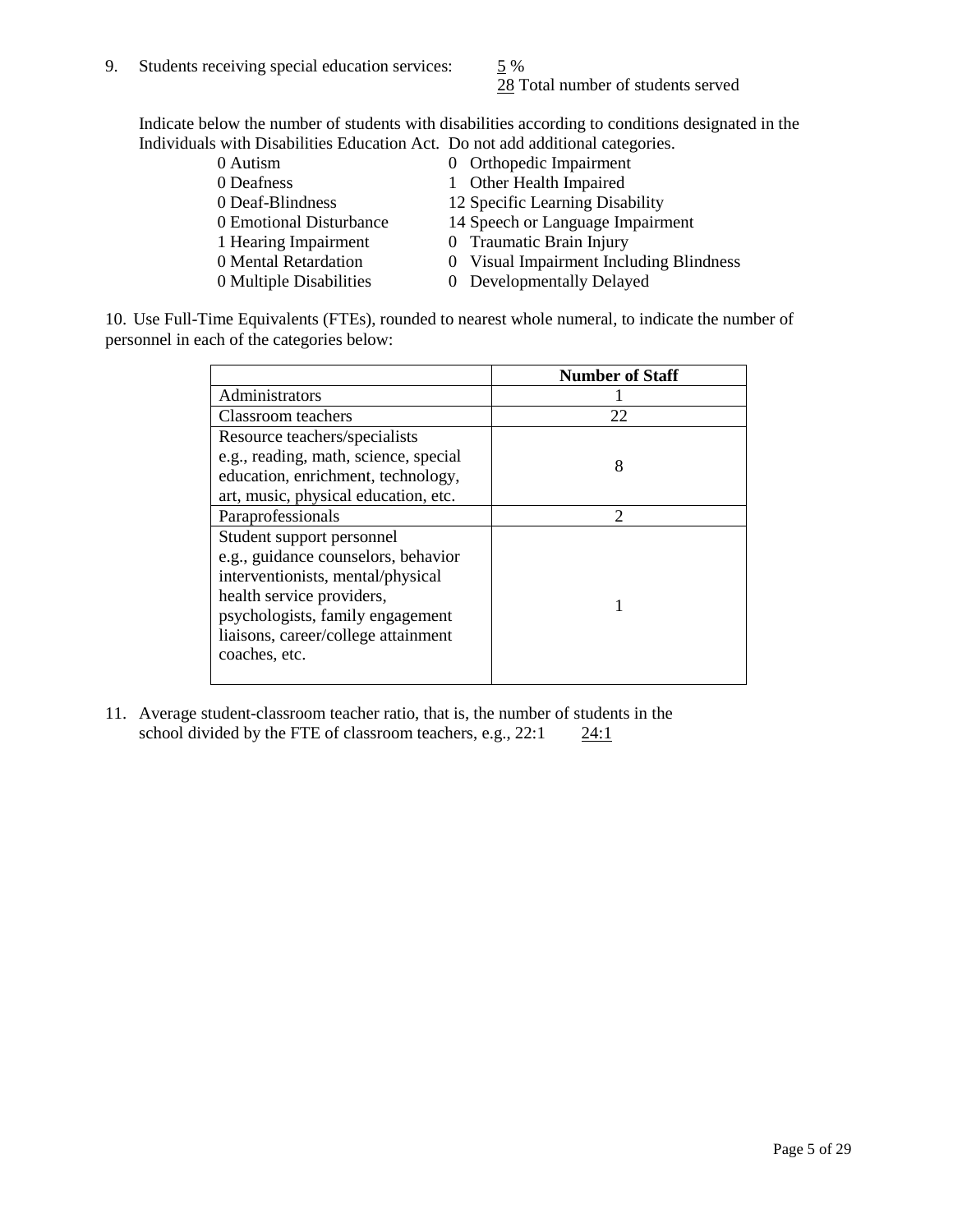28 Total number of students served

Indicate below the number of students with disabilities according to conditions designated in the Individuals with Disabilities Education Act. Do not add additional categories.

| 0 Autism                | 0 Orthopedic Impairment                 |
|-------------------------|-----------------------------------------|
| 0 Deafness              | 1 Other Health Impaired                 |
| 0 Deaf-Blindness        | 12 Specific Learning Disability         |
| 0 Emotional Disturbance | 14 Speech or Language Impairment        |
| 1 Hearing Impairment    | 0 Traumatic Brain Injury                |
| 0 Mental Retardation    | 0 Visual Impairment Including Blindness |
| 0 Multiple Disabilities | 0 Developmentally Delayed               |
|                         |                                         |

10. Use Full-Time Equivalents (FTEs), rounded to nearest whole numeral, to indicate the number of personnel in each of the categories below:

|                                       | <b>Number of Staff</b> |
|---------------------------------------|------------------------|
| Administrators                        |                        |
| Classroom teachers                    | 22                     |
| Resource teachers/specialists         |                        |
| e.g., reading, math, science, special | 8                      |
| education, enrichment, technology,    |                        |
| art, music, physical education, etc.  |                        |
| Paraprofessionals                     | $\mathfrak{D}$         |
| Student support personnel             |                        |
| e.g., guidance counselors, behavior   |                        |
| interventionists, mental/physical     |                        |
| health service providers,             |                        |
| psychologists, family engagement      |                        |
| liaisons, career/college attainment   |                        |
| coaches, etc.                         |                        |
|                                       |                        |

11. Average student-classroom teacher ratio, that is, the number of students in the school divided by the FTE of classroom teachers, e.g.,  $22:1$   $24:1$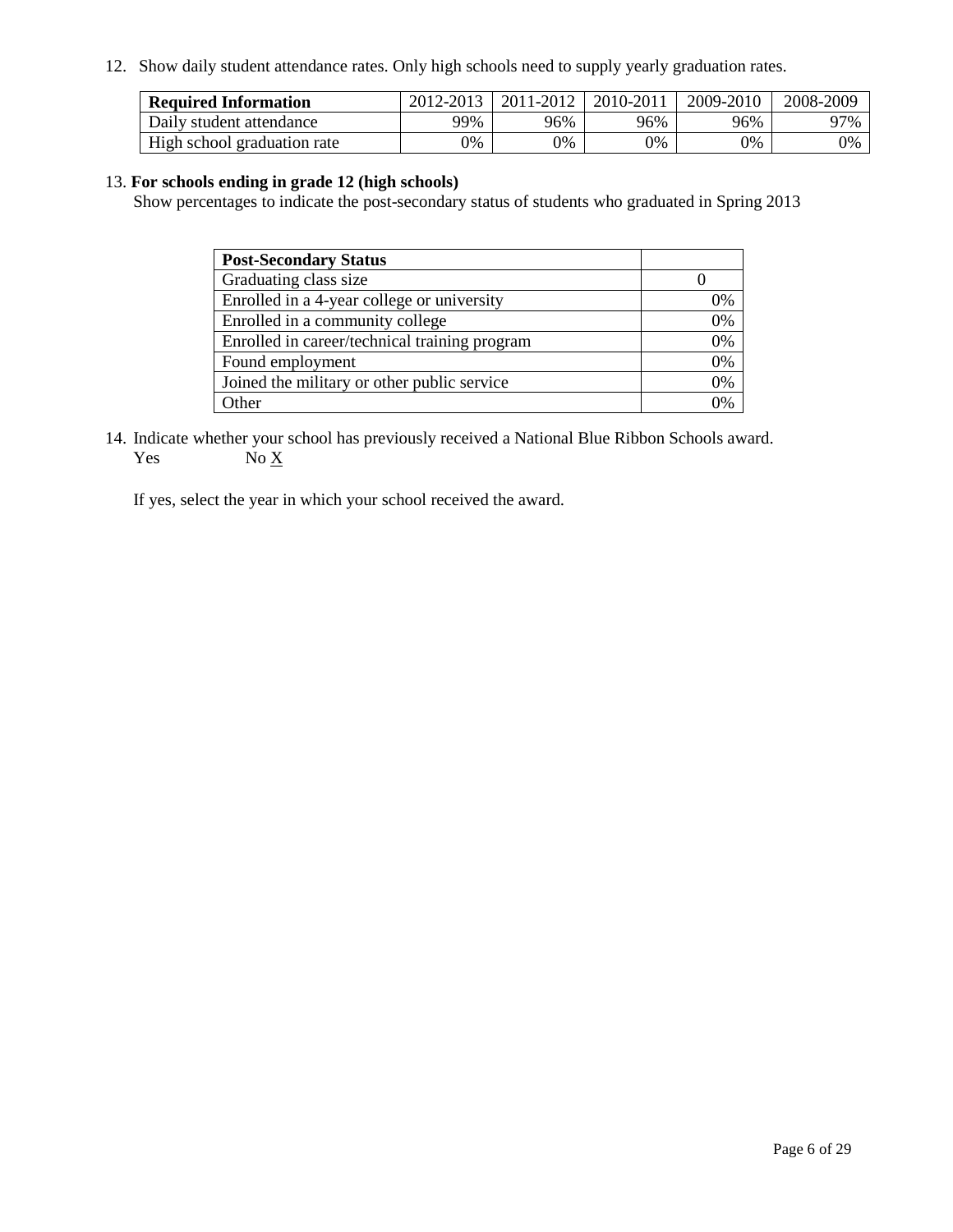12. Show daily student attendance rates. Only high schools need to supply yearly graduation rates.

| <b>Required Information</b> | 2012-2013 | 2011-2012 | 2010-2011 | 2009-2010 | 2008-2009 |
|-----------------------------|-----------|-----------|-----------|-----------|-----------|
| Daily student attendance    | 99%       | 96%       | 96%       | 96%       | 97%       |
| High school graduation rate | 0%        | 0%        | 0%        | 0%        | 0%        |

#### 13. **For schools ending in grade 12 (high schools)**

Show percentages to indicate the post-secondary status of students who graduated in Spring 2013

| <b>Post-Secondary Status</b>                  |    |
|-----------------------------------------------|----|
| Graduating class size                         |    |
| Enrolled in a 4-year college or university    | 0% |
| Enrolled in a community college               | 0% |
| Enrolled in career/technical training program | 0% |
| Found employment                              | 0% |
| Joined the military or other public service   | 0% |
| <b>Ther</b>                                   | 2% |

14. Indicate whether your school has previously received a National Blue Ribbon Schools award. Yes  $No \underline{X}$ 

If yes, select the year in which your school received the award.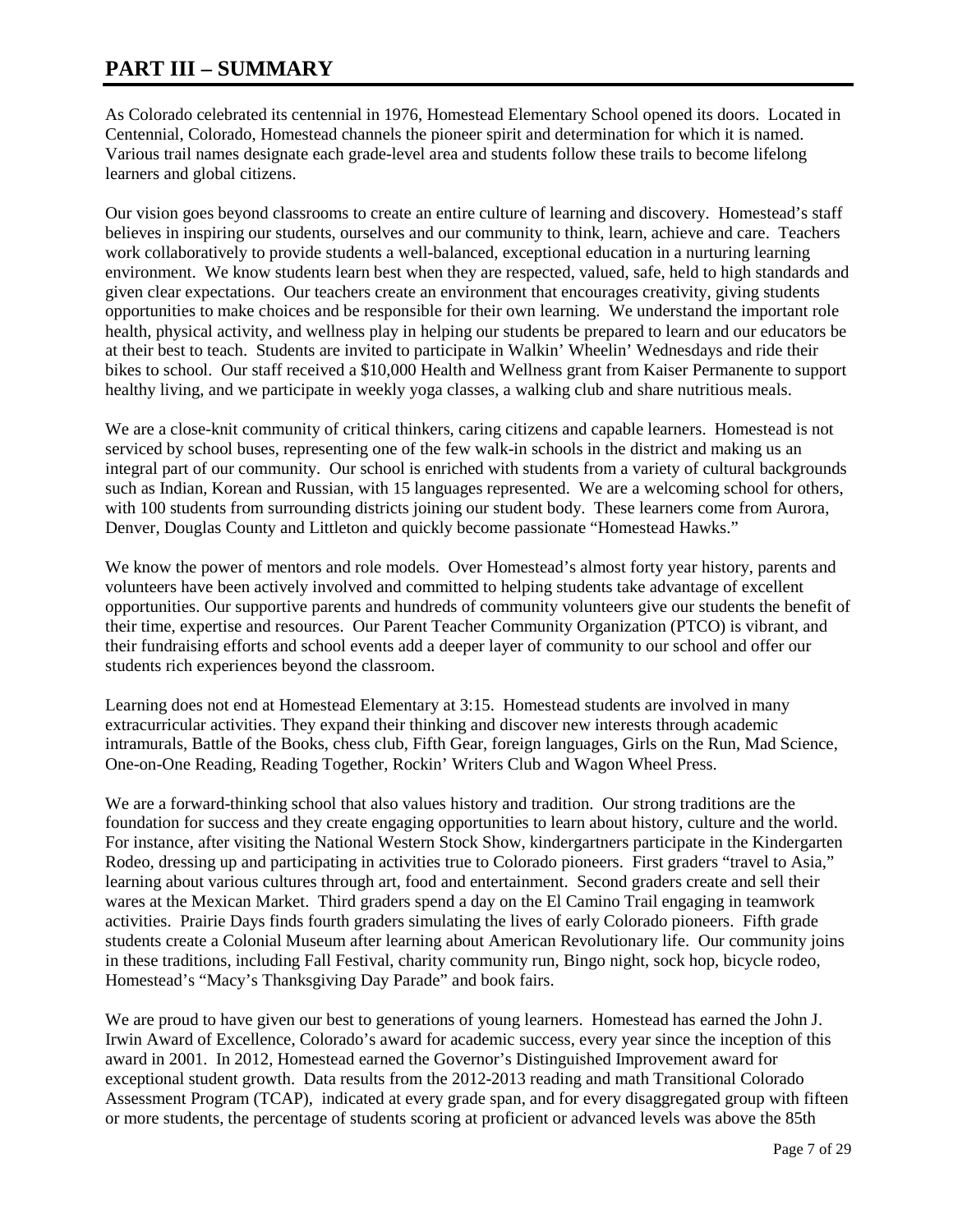### **PART III – SUMMARY**

As Colorado celebrated its centennial in 1976, Homestead Elementary School opened its doors. Located in Centennial, Colorado, Homestead channels the pioneer spirit and determination for which it is named. Various trail names designate each grade-level area and students follow these trails to become lifelong learners and global citizens.

Our vision goes beyond classrooms to create an entire culture of learning and discovery. Homestead's staff believes in inspiring our students, ourselves and our community to think, learn, achieve and care. Teachers work collaboratively to provide students a well-balanced, exceptional education in a nurturing learning environment. We know students learn best when they are respected, valued, safe, held to high standards and given clear expectations. Our teachers create an environment that encourages creativity, giving students opportunities to make choices and be responsible for their own learning. We understand the important role health, physical activity, and wellness play in helping our students be prepared to learn and our educators be at their best to teach. Students are invited to participate in Walkin' Wheelin' Wednesdays and ride their bikes to school. Our staff received a \$10,000 Health and Wellness grant from Kaiser Permanente to support healthy living, and we participate in weekly yoga classes, a walking club and share nutritious meals.

We are a close-knit community of critical thinkers, caring citizens and capable learners. Homestead is not serviced by school buses, representing one of the few walk-in schools in the district and making us an integral part of our community. Our school is enriched with students from a variety of cultural backgrounds such as Indian, Korean and Russian, with 15 languages represented. We are a welcoming school for others, with 100 students from surrounding districts joining our student body. These learners come from Aurora, Denver, Douglas County and Littleton and quickly become passionate "Homestead Hawks."

We know the power of mentors and role models. Over Homestead's almost forty year history, parents and volunteers have been actively involved and committed to helping students take advantage of excellent opportunities. Our supportive parents and hundreds of community volunteers give our students the benefit of their time, expertise and resources. Our Parent Teacher Community Organization (PTCO) is vibrant, and their fundraising efforts and school events add a deeper layer of community to our school and offer our students rich experiences beyond the classroom.

Learning does not end at Homestead Elementary at 3:15. Homestead students are involved in many extracurricular activities. They expand their thinking and discover new interests through academic intramurals, Battle of the Books, chess club, Fifth Gear, foreign languages, Girls on the Run, Mad Science, One-on-One Reading, Reading Together, Rockin' Writers Club and Wagon Wheel Press.

We are a forward-thinking school that also values history and tradition. Our strong traditions are the foundation for success and they create engaging opportunities to learn about history, culture and the world. For instance, after visiting the National Western Stock Show, kindergartners participate in the Kindergarten Rodeo, dressing up and participating in activities true to Colorado pioneers. First graders "travel to Asia," learning about various cultures through art, food and entertainment. Second graders create and sell their wares at the Mexican Market. Third graders spend a day on the El Camino Trail engaging in teamwork activities. Prairie Days finds fourth graders simulating the lives of early Colorado pioneers. Fifth grade students create a Colonial Museum after learning about American Revolutionary life. Our community joins in these traditions, including Fall Festival, charity community run, Bingo night, sock hop, bicycle rodeo, Homestead's "Macy's Thanksgiving Day Parade" and book fairs.

We are proud to have given our best to generations of young learners. Homestead has earned the John J. Irwin Award of Excellence, Colorado's award for academic success, every year since the inception of this award in 2001. In 2012, Homestead earned the Governor's Distinguished Improvement award for exceptional student growth. Data results from the 2012-2013 reading and math Transitional Colorado Assessment Program (TCAP), indicated at every grade span, and for every disaggregated group with fifteen or more students, the percentage of students scoring at proficient or advanced levels was above the 85th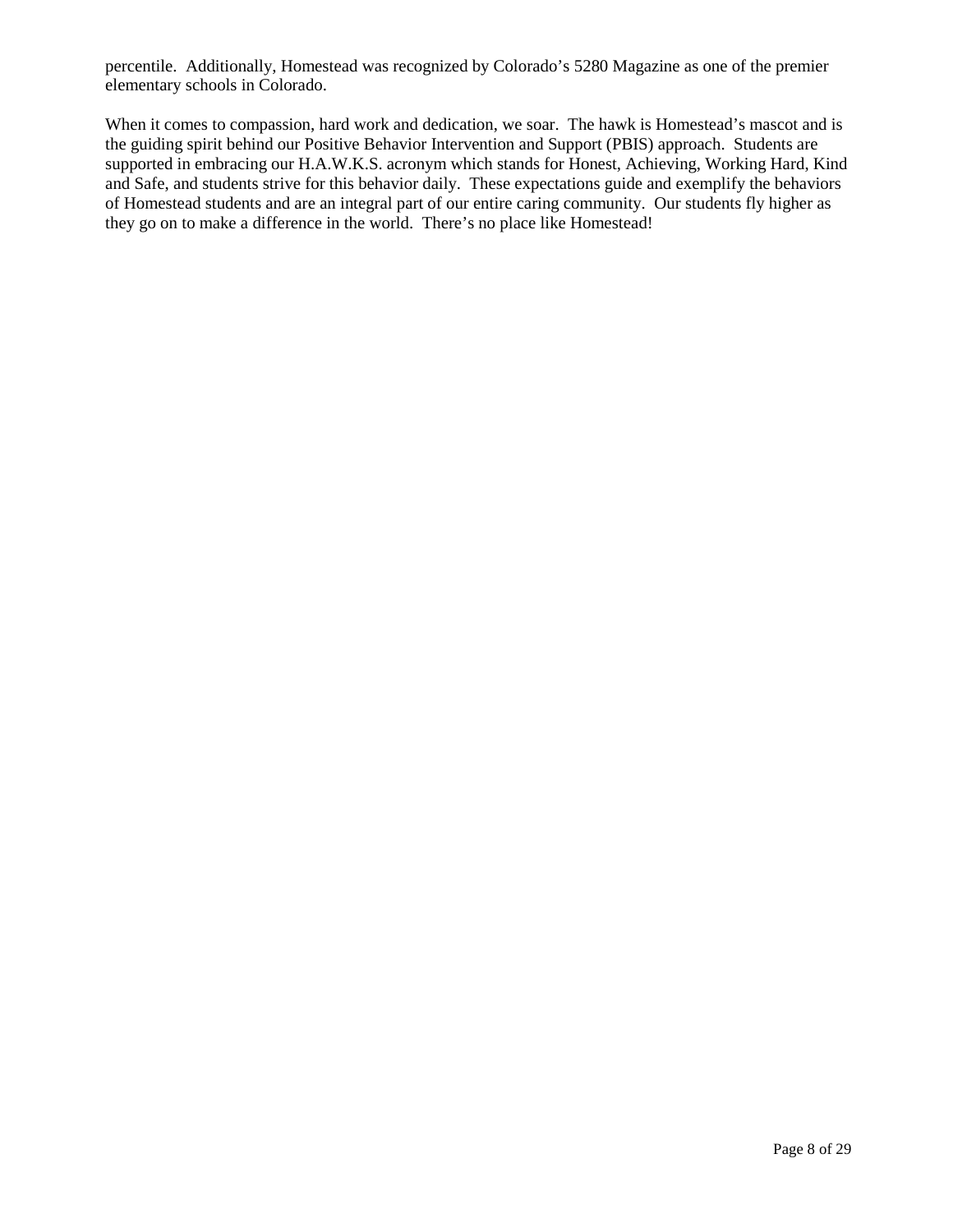percentile. Additionally, Homestead was recognized by Colorado's 5280 Magazine as one of the premier elementary schools in Colorado.

When it comes to compassion, hard work and dedication, we soar. The hawk is Homestead's mascot and is the guiding spirit behind our Positive Behavior Intervention and Support (PBIS) approach. Students are supported in embracing our H.A.W.K.S. acronym which stands for Honest, Achieving, Working Hard, Kind and Safe, and students strive for this behavior daily. These expectations guide and exemplify the behaviors of Homestead students and are an integral part of our entire caring community. Our students fly higher as they go on to make a difference in the world. There's no place like Homestead!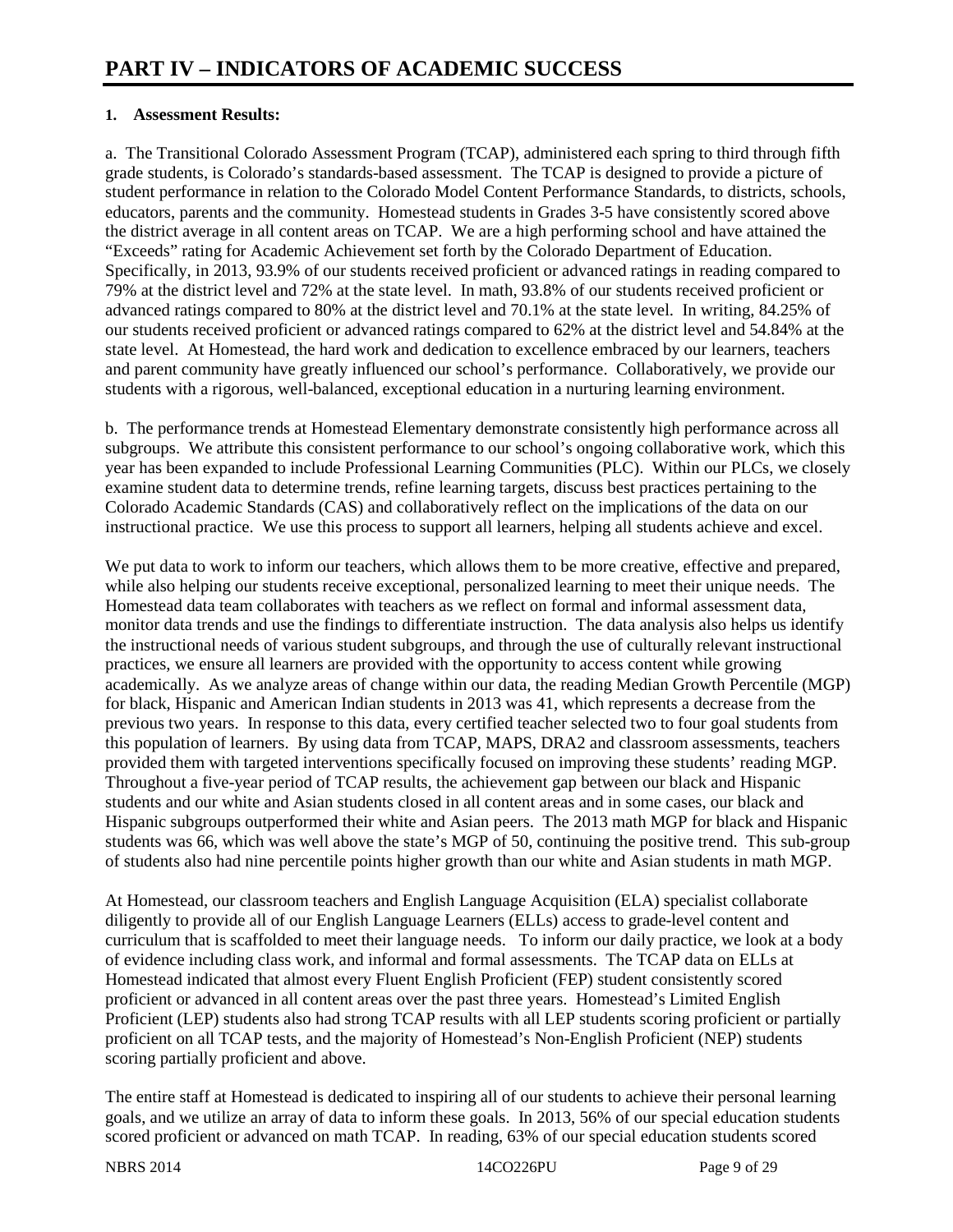#### **1. Assessment Results:**

a. The Transitional Colorado Assessment Program (TCAP), administered each spring to third through fifth grade students, is Colorado's standards-based assessment. The TCAP is designed to provide a picture of student performance in relation to the Colorado Model Content Performance Standards, to districts, schools, educators, parents and the community. Homestead students in Grades 3-5 have consistently scored above the district average in all content areas on TCAP. We are a high performing school and have attained the "Exceeds" rating for Academic Achievement set forth by the Colorado Department of Education. Specifically, in 2013, 93.9% of our students received proficient or advanced ratings in reading compared to 79% at the district level and 72% at the state level. In math, 93.8% of our students received proficient or advanced ratings compared to 80% at the district level and 70.1% at the state level. In writing, 84.25% of our students received proficient or advanced ratings compared to 62% at the district level and 54.84% at the state level. At Homestead, the hard work and dedication to excellence embraced by our learners, teachers and parent community have greatly influenced our school's performance. Collaboratively, we provide our students with a rigorous, well-balanced, exceptional education in a nurturing learning environment.

b. The performance trends at Homestead Elementary demonstrate consistently high performance across all subgroups. We attribute this consistent performance to our school's ongoing collaborative work, which this year has been expanded to include Professional Learning Communities (PLC). Within our PLCs, we closely examine student data to determine trends, refine learning targets, discuss best practices pertaining to the Colorado Academic Standards (CAS) and collaboratively reflect on the implications of the data on our instructional practice. We use this process to support all learners, helping all students achieve and excel.

We put data to work to inform our teachers, which allows them to be more creative, effective and prepared, while also helping our students receive exceptional, personalized learning to meet their unique needs. The Homestead data team collaborates with teachers as we reflect on formal and informal assessment data, monitor data trends and use the findings to differentiate instruction. The data analysis also helps us identify the instructional needs of various student subgroups, and through the use of culturally relevant instructional practices, we ensure all learners are provided with the opportunity to access content while growing academically. As we analyze areas of change within our data, the reading Median Growth Percentile (MGP) for black, Hispanic and American Indian students in 2013 was 41, which represents a decrease from the previous two years. In response to this data, every certified teacher selected two to four goal students from this population of learners. By using data from TCAP, MAPS, DRA2 and classroom assessments, teachers provided them with targeted interventions specifically focused on improving these students' reading MGP. Throughout a five-year period of TCAP results, the achievement gap between our black and Hispanic students and our white and Asian students closed in all content areas and in some cases, our black and Hispanic subgroups outperformed their white and Asian peers. The 2013 math MGP for black and Hispanic students was 66, which was well above the state's MGP of 50, continuing the positive trend. This sub-group of students also had nine percentile points higher growth than our white and Asian students in math MGP.

At Homestead, our classroom teachers and English Language Acquisition (ELA) specialist collaborate diligently to provide all of our English Language Learners (ELLs) access to grade-level content and curriculum that is scaffolded to meet their language needs. To inform our daily practice, we look at a body of evidence including class work, and informal and formal assessments. The TCAP data on ELLs at Homestead indicated that almost every Fluent English Proficient (FEP) student consistently scored proficient or advanced in all content areas over the past three years. Homestead's Limited English Proficient (LEP) students also had strong TCAP results with all LEP students scoring proficient or partially proficient on all TCAP tests, and the majority of Homestead's Non-English Proficient (NEP) students scoring partially proficient and above.

The entire staff at Homestead is dedicated to inspiring all of our students to achieve their personal learning goals, and we utilize an array of data to inform these goals. In 2013, 56% of our special education students scored proficient or advanced on math TCAP. In reading, 63% of our special education students scored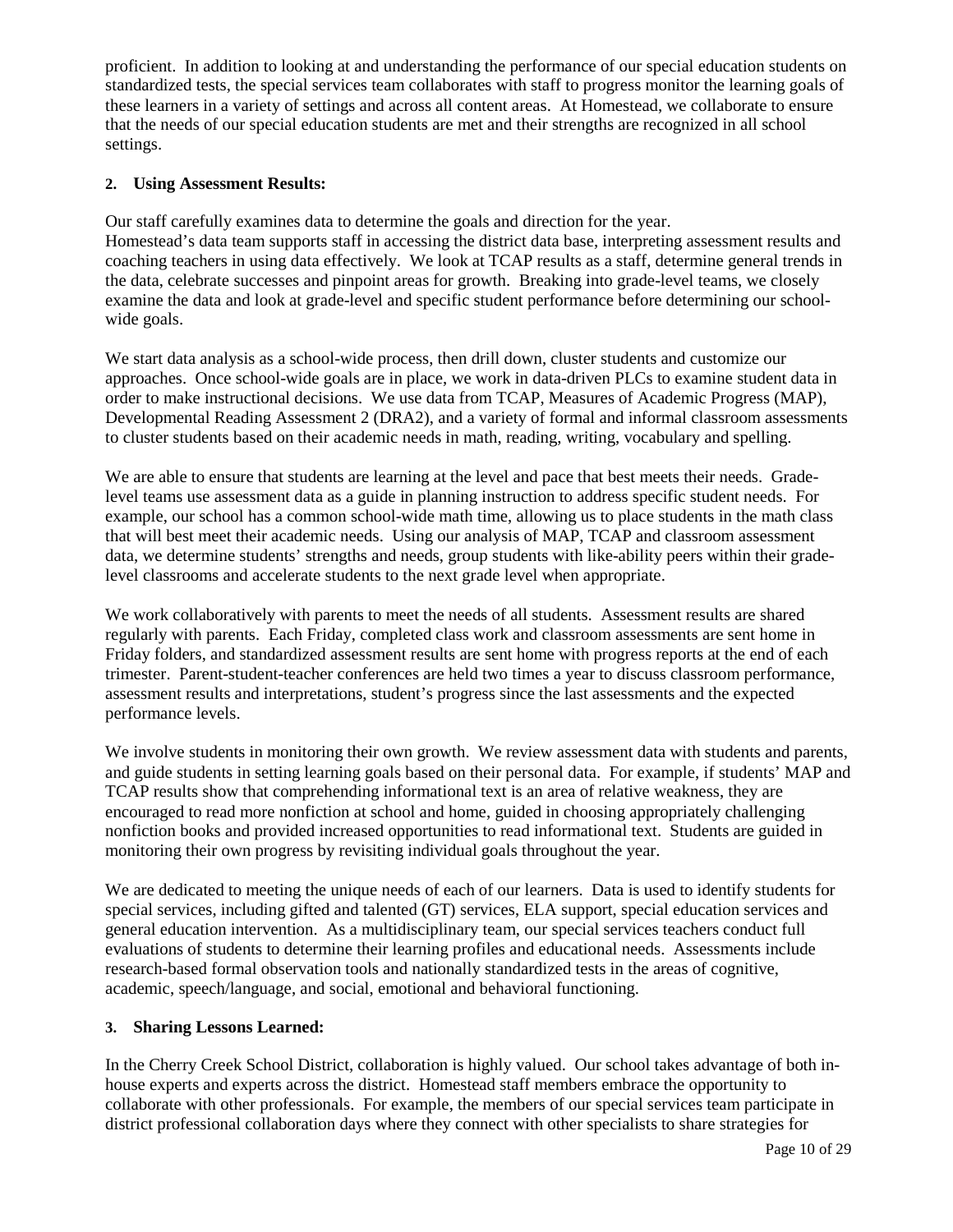proficient. In addition to looking at and understanding the performance of our special education students on standardized tests, the special services team collaborates with staff to progress monitor the learning goals of these learners in a variety of settings and across all content areas. At Homestead, we collaborate to ensure that the needs of our special education students are met and their strengths are recognized in all school settings.

#### **2. Using Assessment Results:**

Our staff carefully examines data to determine the goals and direction for the year. Homestead's data team supports staff in accessing the district data base, interpreting assessment results and coaching teachers in using data effectively. We look at TCAP results as a staff, determine general trends in the data, celebrate successes and pinpoint areas for growth. Breaking into grade-level teams, we closely examine the data and look at grade-level and specific student performance before determining our schoolwide goals.

We start data analysis as a school-wide process, then drill down, cluster students and customize our approaches. Once school-wide goals are in place, we work in data-driven PLCs to examine student data in order to make instructional decisions. We use data from TCAP, Measures of Academic Progress (MAP), Developmental Reading Assessment 2 (DRA2), and a variety of formal and informal classroom assessments to cluster students based on their academic needs in math, reading, writing, vocabulary and spelling.

We are able to ensure that students are learning at the level and pace that best meets their needs. Gradelevel teams use assessment data as a guide in planning instruction to address specific student needs. For example, our school has a common school-wide math time, allowing us to place students in the math class that will best meet their academic needs. Using our analysis of MAP, TCAP and classroom assessment data, we determine students' strengths and needs, group students with like-ability peers within their gradelevel classrooms and accelerate students to the next grade level when appropriate.

We work collaboratively with parents to meet the needs of all students. Assessment results are shared regularly with parents. Each Friday, completed class work and classroom assessments are sent home in Friday folders, and standardized assessment results are sent home with progress reports at the end of each trimester. Parent-student-teacher conferences are held two times a year to discuss classroom performance, assessment results and interpretations, student's progress since the last assessments and the expected performance levels.

We involve students in monitoring their own growth. We review assessment data with students and parents, and guide students in setting learning goals based on their personal data. For example, if students' MAP and TCAP results show that comprehending informational text is an area of relative weakness, they are encouraged to read more nonfiction at school and home, guided in choosing appropriately challenging nonfiction books and provided increased opportunities to read informational text. Students are guided in monitoring their own progress by revisiting individual goals throughout the year.

We are dedicated to meeting the unique needs of each of our learners. Data is used to identify students for special services, including gifted and talented (GT) services, ELA support, special education services and general education intervention. As a multidisciplinary team, our special services teachers conduct full evaluations of students to determine their learning profiles and educational needs. Assessments include research-based formal observation tools and nationally standardized tests in the areas of cognitive, academic, speech/language, and social, emotional and behavioral functioning.

### **3. Sharing Lessons Learned:**

In the Cherry Creek School District, collaboration is highly valued. Our school takes advantage of both inhouse experts and experts across the district. Homestead staff members embrace the opportunity to collaborate with other professionals. For example, the members of our special services team participate in district professional collaboration days where they connect with other specialists to share strategies for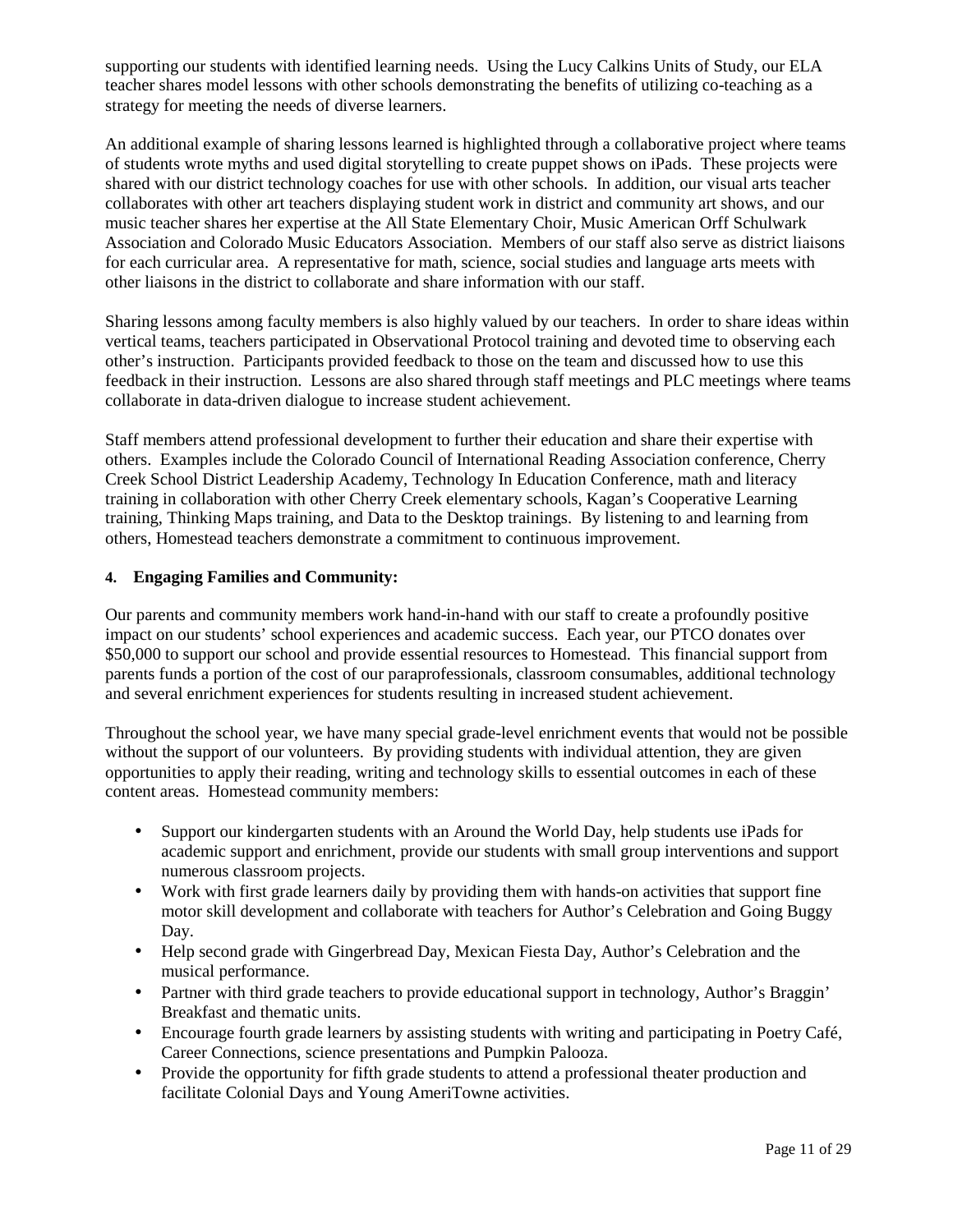supporting our students with identified learning needs. Using the Lucy Calkins Units of Study, our ELA teacher shares model lessons with other schools demonstrating the benefits of utilizing co-teaching as a strategy for meeting the needs of diverse learners.

An additional example of sharing lessons learned is highlighted through a collaborative project where teams of students wrote myths and used digital storytelling to create puppet shows on iPads. These projects were shared with our district technology coaches for use with other schools. In addition, our visual arts teacher collaborates with other art teachers displaying student work in district and community art shows, and our music teacher shares her expertise at the All State Elementary Choir, Music American Orff Schulwark Association and Colorado Music Educators Association. Members of our staff also serve as district liaisons for each curricular area. A representative for math, science, social studies and language arts meets with other liaisons in the district to collaborate and share information with our staff.

Sharing lessons among faculty members is also highly valued by our teachers. In order to share ideas within vertical teams, teachers participated in Observational Protocol training and devoted time to observing each other's instruction. Participants provided feedback to those on the team and discussed how to use this feedback in their instruction. Lessons are also shared through staff meetings and PLC meetings where teams collaborate in data-driven dialogue to increase student achievement.

Staff members attend professional development to further their education and share their expertise with others. Examples include the Colorado Council of International Reading Association conference, Cherry Creek School District Leadership Academy, Technology In Education Conference, math and literacy training in collaboration with other Cherry Creek elementary schools, Kagan's Cooperative Learning training, Thinking Maps training, and Data to the Desktop trainings. By listening to and learning from others, Homestead teachers demonstrate a commitment to continuous improvement.

#### **4. Engaging Families and Community:**

Our parents and community members work hand-in-hand with our staff to create a profoundly positive impact on our students' school experiences and academic success. Each year, our PTCO donates over \$50,000 to support our school and provide essential resources to Homestead. This financial support from parents funds a portion of the cost of our paraprofessionals, classroom consumables, additional technology and several enrichment experiences for students resulting in increased student achievement.

Throughout the school year, we have many special grade-level enrichment events that would not be possible without the support of our volunteers. By providing students with individual attention, they are given opportunities to apply their reading, writing and technology skills to essential outcomes in each of these content areas. Homestead community members:

- Support our kindergarten students with an Around the World Day, help students use iPads for academic support and enrichment, provide our students with small group interventions and support numerous classroom projects.
- Work with first grade learners daily by providing them with hands-on activities that support fine motor skill development and collaborate with teachers for Author's Celebration and Going Buggy Day.
- Help second grade with Gingerbread Day, Mexican Fiesta Day, Author's Celebration and the musical performance.
- Partner with third grade teachers to provide educational support in technology, Author's Braggin' Breakfast and thematic units.
- Encourage fourth grade learners by assisting students with writing and participating in Poetry Café, Career Connections, science presentations and Pumpkin Palooza.
- Provide the opportunity for fifth grade students to attend a professional theater production and facilitate Colonial Days and Young AmeriTowne activities.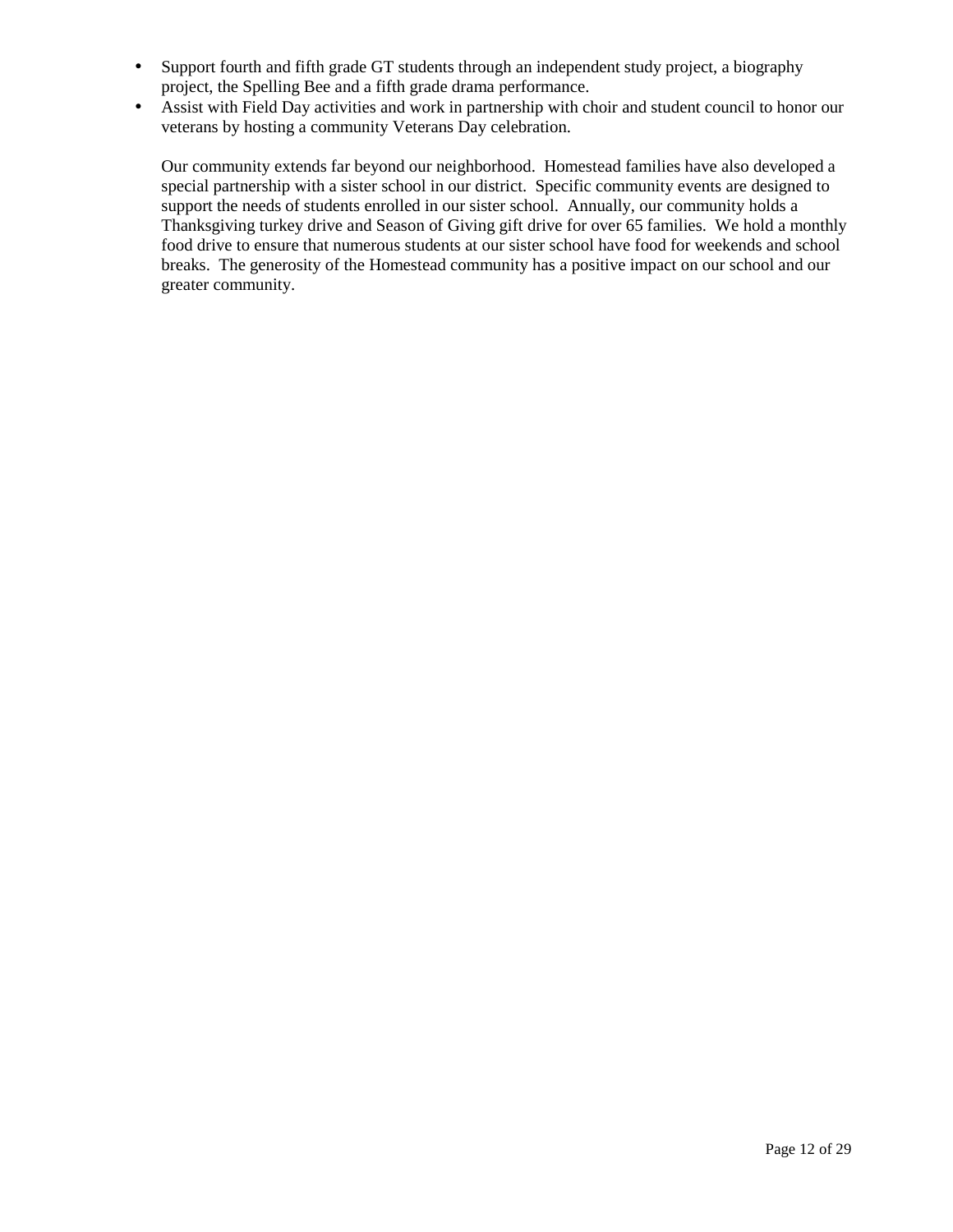- Support fourth and fifth grade GT students through an independent study project, a biography project, the Spelling Bee and a fifth grade drama performance.
- Assist with Field Day activities and work in partnership with choir and student council to honor our veterans by hosting a community Veterans Day celebration.

Our community extends far beyond our neighborhood. Homestead families have also developed a special partnership with a sister school in our district. Specific community events are designed to support the needs of students enrolled in our sister school. Annually, our community holds a Thanksgiving turkey drive and Season of Giving gift drive for over 65 families. We hold a monthly food drive to ensure that numerous students at our sister school have food for weekends and school breaks. The generosity of the Homestead community has a positive impact on our school and our greater community.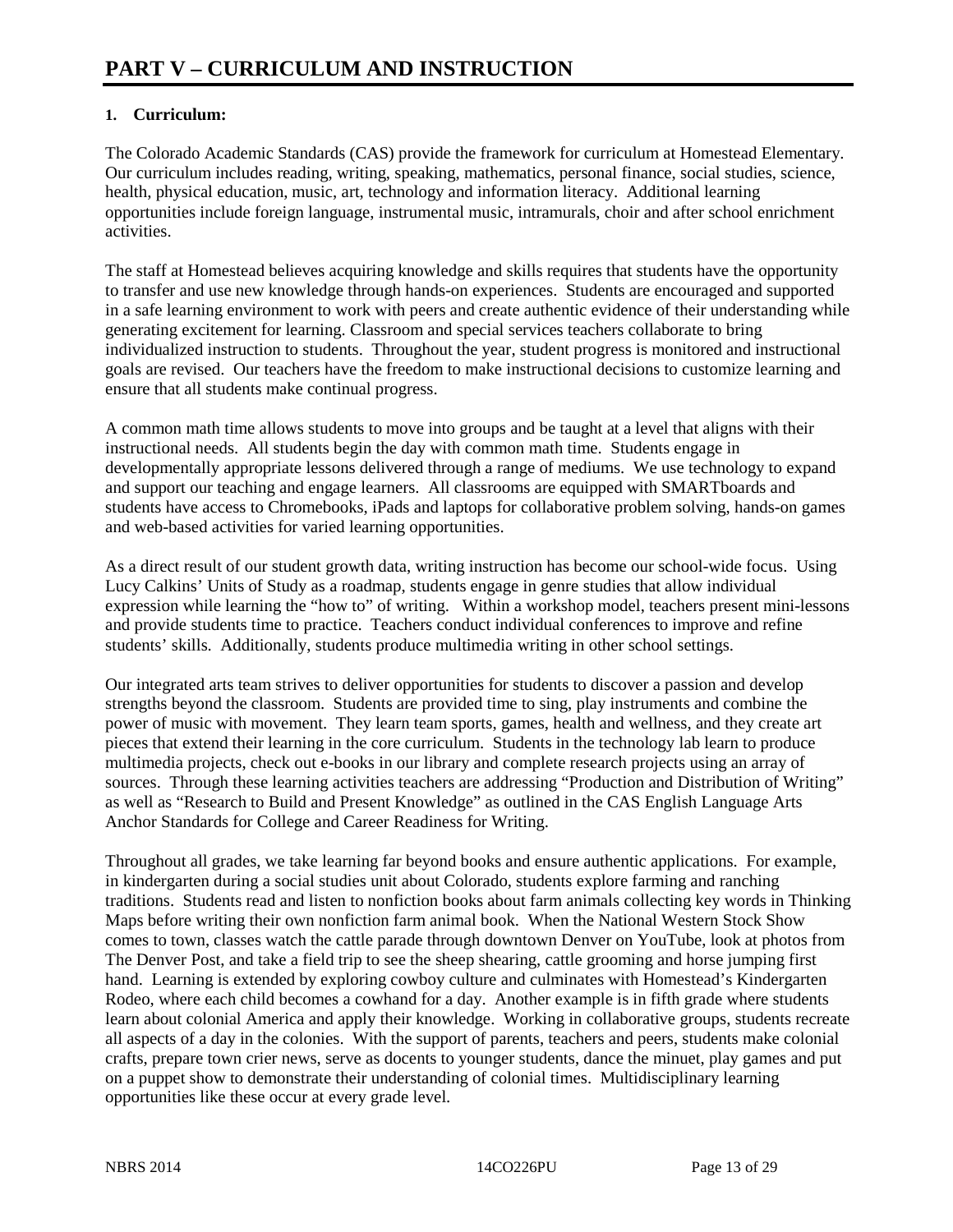### **1. Curriculum:**

The Colorado Academic Standards (CAS) provide the framework for curriculum at Homestead Elementary. Our curriculum includes reading, writing, speaking, mathematics, personal finance, social studies, science, health, physical education, music, art, technology and information literacy. Additional learning opportunities include foreign language, instrumental music, intramurals, choir and after school enrichment activities.

The staff at Homestead believes acquiring knowledge and skills requires that students have the opportunity to transfer and use new knowledge through hands-on experiences. Students are encouraged and supported in a safe learning environment to work with peers and create authentic evidence of their understanding while generating excitement for learning. Classroom and special services teachers collaborate to bring individualized instruction to students. Throughout the year, student progress is monitored and instructional goals are revised. Our teachers have the freedom to make instructional decisions to customize learning and ensure that all students make continual progress.

A common math time allows students to move into groups and be taught at a level that aligns with their instructional needs. All students begin the day with common math time. Students engage in developmentally appropriate lessons delivered through a range of mediums. We use technology to expand and support our teaching and engage learners. All classrooms are equipped with SMARTboards and students have access to Chromebooks, iPads and laptops for collaborative problem solving, hands-on games and web-based activities for varied learning opportunities.

As a direct result of our student growth data, writing instruction has become our school-wide focus. Using Lucy Calkins' Units of Study as a roadmap, students engage in genre studies that allow individual expression while learning the "how to" of writing. Within a workshop model, teachers present mini-lessons and provide students time to practice. Teachers conduct individual conferences to improve and refine students' skills. Additionally, students produce multimedia writing in other school settings.

Our integrated arts team strives to deliver opportunities for students to discover a passion and develop strengths beyond the classroom. Students are provided time to sing, play instruments and combine the power of music with movement. They learn team sports, games, health and wellness, and they create art pieces that extend their learning in the core curriculum. Students in the technology lab learn to produce multimedia projects, check out e-books in our library and complete research projects using an array of sources. Through these learning activities teachers are addressing "Production and Distribution of Writing" as well as "Research to Build and Present Knowledge" as outlined in the CAS English Language Arts Anchor Standards for College and Career Readiness for Writing.

Throughout all grades, we take learning far beyond books and ensure authentic applications. For example, in kindergarten during a social studies unit about Colorado, students explore farming and ranching traditions. Students read and listen to nonfiction books about farm animals collecting key words in Thinking Maps before writing their own nonfiction farm animal book. When the National Western Stock Show comes to town, classes watch the cattle parade through downtown Denver on YouTube, look at photos from The Denver Post, and take a field trip to see the sheep shearing, cattle grooming and horse jumping first hand. Learning is extended by exploring cowboy culture and culminates with Homestead's Kindergarten Rodeo, where each child becomes a cowhand for a day. Another example is in fifth grade where students learn about colonial America and apply their knowledge. Working in collaborative groups, students recreate all aspects of a day in the colonies. With the support of parents, teachers and peers, students make colonial crafts, prepare town crier news, serve as docents to younger students, dance the minuet, play games and put on a puppet show to demonstrate their understanding of colonial times. Multidisciplinary learning opportunities like these occur at every grade level.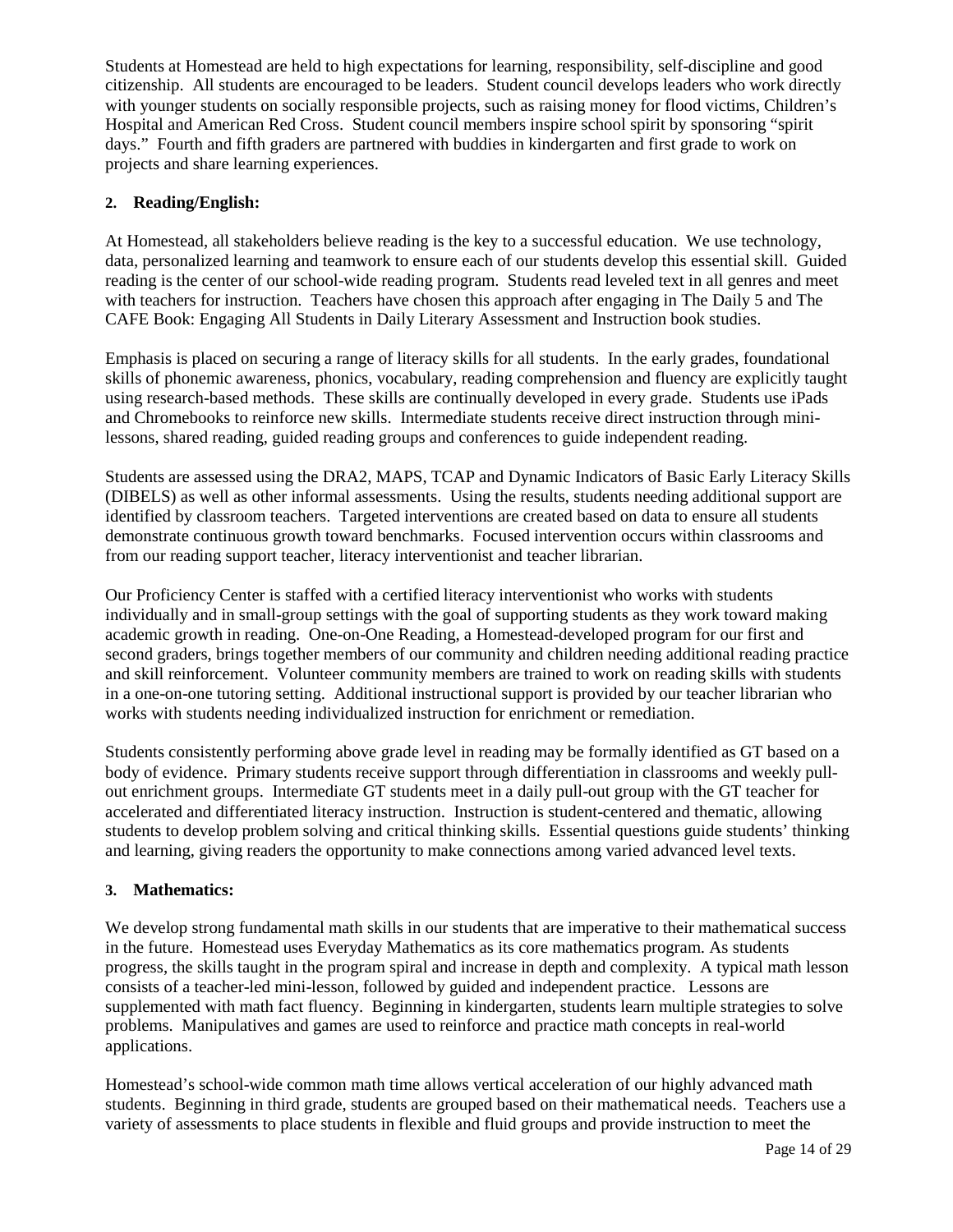Students at Homestead are held to high expectations for learning, responsibility, self-discipline and good citizenship. All students are encouraged to be leaders. Student council develops leaders who work directly with younger students on socially responsible projects, such as raising money for flood victims, Children's Hospital and American Red Cross. Student council members inspire school spirit by sponsoring "spirit days." Fourth and fifth graders are partnered with buddies in kindergarten and first grade to work on projects and share learning experiences.

#### **2. Reading/English:**

At Homestead, all stakeholders believe reading is the key to a successful education. We use technology, data, personalized learning and teamwork to ensure each of our students develop this essential skill. Guided reading is the center of our school-wide reading program. Students read leveled text in all genres and meet with teachers for instruction. Teachers have chosen this approach after engaging in The Daily 5 and The CAFE Book: Engaging All Students in Daily Literary Assessment and Instruction book studies.

Emphasis is placed on securing a range of literacy skills for all students. In the early grades, foundational skills of phonemic awareness, phonics, vocabulary, reading comprehension and fluency are explicitly taught using research-based methods. These skills are continually developed in every grade. Students use iPads and Chromebooks to reinforce new skills. Intermediate students receive direct instruction through minilessons, shared reading, guided reading groups and conferences to guide independent reading.

Students are assessed using the DRA2, MAPS, TCAP and Dynamic Indicators of Basic Early Literacy Skills (DIBELS) as well as other informal assessments. Using the results, students needing additional support are identified by classroom teachers. Targeted interventions are created based on data to ensure all students demonstrate continuous growth toward benchmarks. Focused intervention occurs within classrooms and from our reading support teacher, literacy interventionist and teacher librarian.

Our Proficiency Center is staffed with a certified literacy interventionist who works with students individually and in small-group settings with the goal of supporting students as they work toward making academic growth in reading. One-on-One Reading, a Homestead-developed program for our first and second graders, brings together members of our community and children needing additional reading practice and skill reinforcement. Volunteer community members are trained to work on reading skills with students in a one-on-one tutoring setting. Additional instructional support is provided by our teacher librarian who works with students needing individualized instruction for enrichment or remediation.

Students consistently performing above grade level in reading may be formally identified as GT based on a body of evidence. Primary students receive support through differentiation in classrooms and weekly pullout enrichment groups. Intermediate GT students meet in a daily pull-out group with the GT teacher for accelerated and differentiated literacy instruction. Instruction is student-centered and thematic, allowing students to develop problem solving and critical thinking skills. Essential questions guide students' thinking and learning, giving readers the opportunity to make connections among varied advanced level texts.

#### **3. Mathematics:**

We develop strong fundamental math skills in our students that are imperative to their mathematical success in the future. Homestead uses Everyday Mathematics as its core mathematics program. As students progress, the skills taught in the program spiral and increase in depth and complexity. A typical math lesson consists of a teacher-led mini-lesson, followed by guided and independent practice. Lessons are supplemented with math fact fluency. Beginning in kindergarten, students learn multiple strategies to solve problems. Manipulatives and games are used to reinforce and practice math concepts in real-world applications.

Homestead's school-wide common math time allows vertical acceleration of our highly advanced math students. Beginning in third grade, students are grouped based on their mathematical needs. Teachers use a variety of assessments to place students in flexible and fluid groups and provide instruction to meet the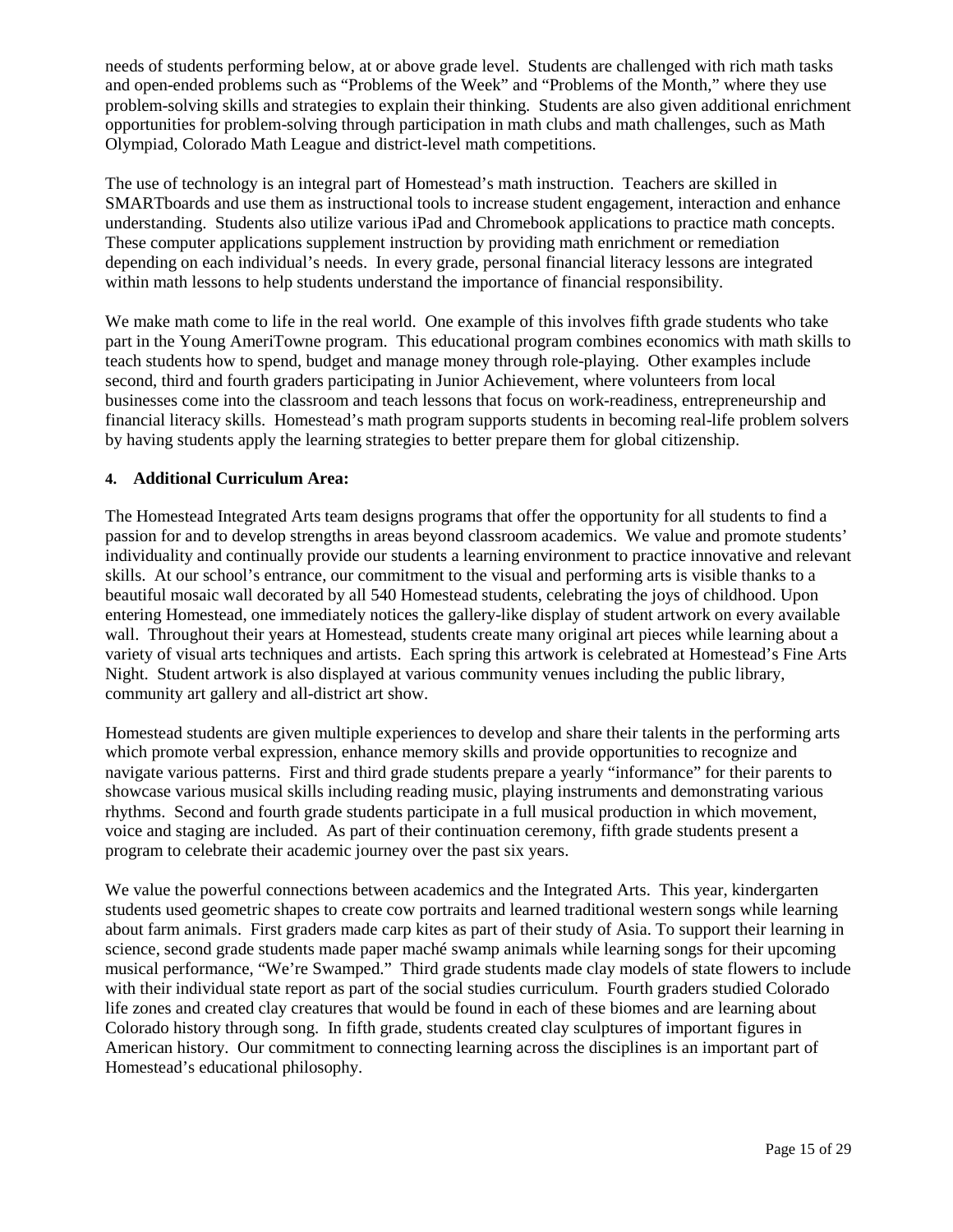needs of students performing below, at or above grade level. Students are challenged with rich math tasks and open-ended problems such as "Problems of the Week" and "Problems of the Month," where they use problem-solving skills and strategies to explain their thinking. Students are also given additional enrichment opportunities for problem-solving through participation in math clubs and math challenges, such as Math Olympiad, Colorado Math League and district-level math competitions.

The use of technology is an integral part of Homestead's math instruction. Teachers are skilled in SMARTboards and use them as instructional tools to increase student engagement, interaction and enhance understanding. Students also utilize various iPad and Chromebook applications to practice math concepts. These computer applications supplement instruction by providing math enrichment or remediation depending on each individual's needs. In every grade, personal financial literacy lessons are integrated within math lessons to help students understand the importance of financial responsibility.

We make math come to life in the real world. One example of this involves fifth grade students who take part in the Young AmeriTowne program. This educational program combines economics with math skills to teach students how to spend, budget and manage money through role-playing. Other examples include second, third and fourth graders participating in Junior Achievement, where volunteers from local businesses come into the classroom and teach lessons that focus on work-readiness, entrepreneurship and financial literacy skills. Homestead's math program supports students in becoming real-life problem solvers by having students apply the learning strategies to better prepare them for global citizenship.

#### **4. Additional Curriculum Area:**

The Homestead Integrated Arts team designs programs that offer the opportunity for all students to find a passion for and to develop strengths in areas beyond classroom academics. We value and promote students' individuality and continually provide our students a learning environment to practice innovative and relevant skills. At our school's entrance, our commitment to the visual and performing arts is visible thanks to a beautiful mosaic wall decorated by all 540 Homestead students, celebrating the joys of childhood. Upon entering Homestead, one immediately notices the gallery-like display of student artwork on every available wall. Throughout their years at Homestead, students create many original art pieces while learning about a variety of visual arts techniques and artists. Each spring this artwork is celebrated at Homestead's Fine Arts Night. Student artwork is also displayed at various community venues including the public library, community art gallery and all-district art show.

Homestead students are given multiple experiences to develop and share their talents in the performing arts which promote verbal expression, enhance memory skills and provide opportunities to recognize and navigate various patterns. First and third grade students prepare a yearly "informance" for their parents to showcase various musical skills including reading music, playing instruments and demonstrating various rhythms. Second and fourth grade students participate in a full musical production in which movement, voice and staging are included. As part of their continuation ceremony, fifth grade students present a program to celebrate their academic journey over the past six years.

We value the powerful connections between academics and the Integrated Arts. This year, kindergarten students used geometric shapes to create cow portraits and learned traditional western songs while learning about farm animals. First graders made carp kites as part of their study of Asia. To support their learning in science, second grade students made paper maché swamp animals while learning songs for their upcoming musical performance, "We're Swamped." Third grade students made clay models of state flowers to include with their individual state report as part of the social studies curriculum. Fourth graders studied Colorado life zones and created clay creatures that would be found in each of these biomes and are learning about Colorado history through song. In fifth grade, students created clay sculptures of important figures in American history. Our commitment to connecting learning across the disciplines is an important part of Homestead's educational philosophy.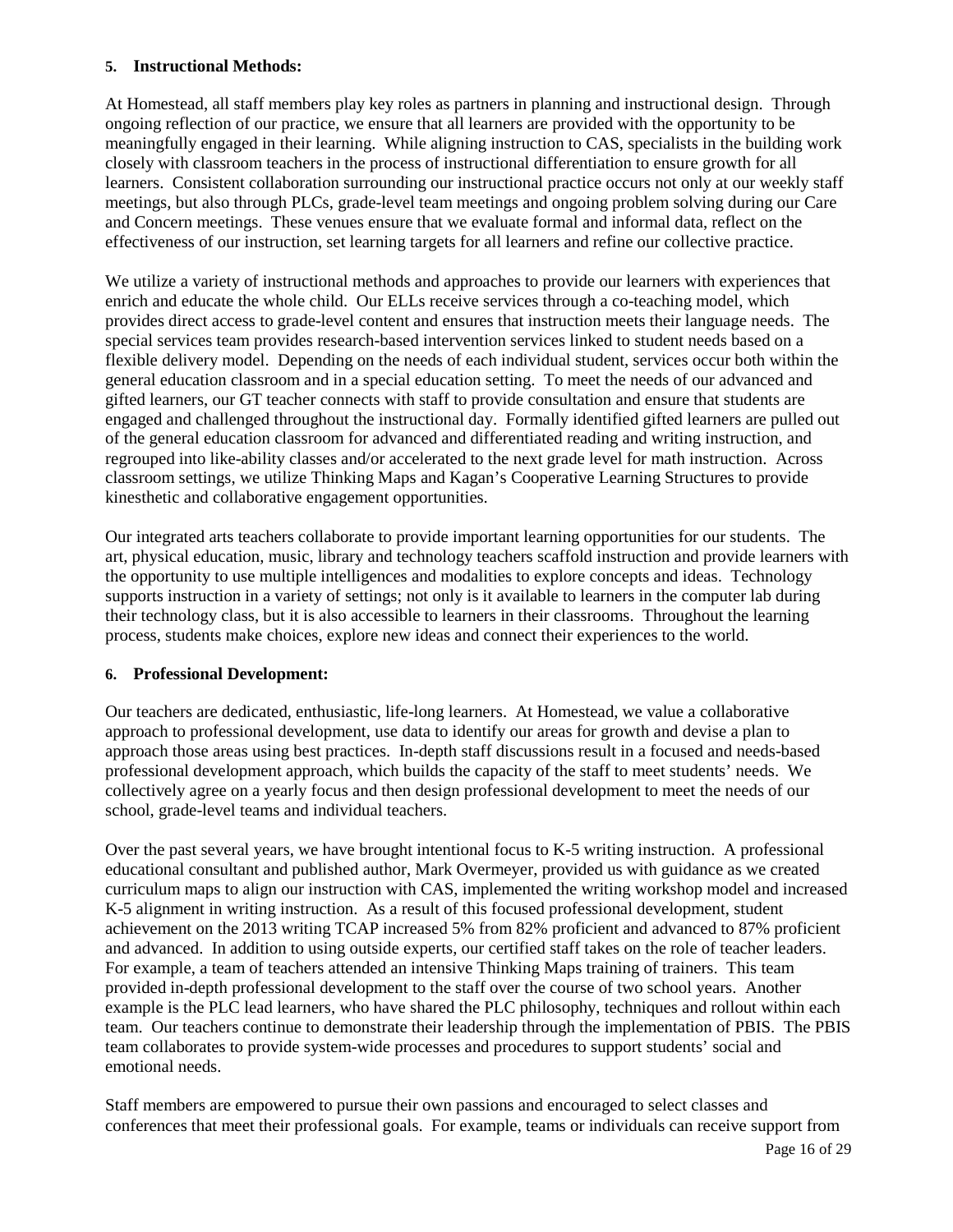#### **5. Instructional Methods:**

At Homestead, all staff members play key roles as partners in planning and instructional design. Through ongoing reflection of our practice, we ensure that all learners are provided with the opportunity to be meaningfully engaged in their learning. While aligning instruction to CAS, specialists in the building work closely with classroom teachers in the process of instructional differentiation to ensure growth for all learners. Consistent collaboration surrounding our instructional practice occurs not only at our weekly staff meetings, but also through PLCs, grade-level team meetings and ongoing problem solving during our Care and Concern meetings. These venues ensure that we evaluate formal and informal data, reflect on the effectiveness of our instruction, set learning targets for all learners and refine our collective practice.

We utilize a variety of instructional methods and approaches to provide our learners with experiences that enrich and educate the whole child. Our ELLs receive services through a co-teaching model, which provides direct access to grade-level content and ensures that instruction meets their language needs. The special services team provides research-based intervention services linked to student needs based on a flexible delivery model. Depending on the needs of each individual student, services occur both within the general education classroom and in a special education setting. To meet the needs of our advanced and gifted learners, our GT teacher connects with staff to provide consultation and ensure that students are engaged and challenged throughout the instructional day. Formally identified gifted learners are pulled out of the general education classroom for advanced and differentiated reading and writing instruction, and regrouped into like-ability classes and/or accelerated to the next grade level for math instruction. Across classroom settings, we utilize Thinking Maps and Kagan's Cooperative Learning Structures to provide kinesthetic and collaborative engagement opportunities.

Our integrated arts teachers collaborate to provide important learning opportunities for our students. The art, physical education, music, library and technology teachers scaffold instruction and provide learners with the opportunity to use multiple intelligences and modalities to explore concepts and ideas. Technology supports instruction in a variety of settings; not only is it available to learners in the computer lab during their technology class, but it is also accessible to learners in their classrooms. Throughout the learning process, students make choices, explore new ideas and connect their experiences to the world.

#### **6. Professional Development:**

Our teachers are dedicated, enthusiastic, life-long learners. At Homestead, we value a collaborative approach to professional development, use data to identify our areas for growth and devise a plan to approach those areas using best practices. In-depth staff discussions result in a focused and needs-based professional development approach, which builds the capacity of the staff to meet students' needs. We collectively agree on a yearly focus and then design professional development to meet the needs of our school, grade-level teams and individual teachers.

Over the past several years, we have brought intentional focus to K-5 writing instruction. A professional educational consultant and published author, Mark Overmeyer, provided us with guidance as we created curriculum maps to align our instruction with CAS, implemented the writing workshop model and increased K-5 alignment in writing instruction. As a result of this focused professional development, student achievement on the 2013 writing TCAP increased 5% from 82% proficient and advanced to 87% proficient and advanced. In addition to using outside experts, our certified staff takes on the role of teacher leaders. For example, a team of teachers attended an intensive Thinking Maps training of trainers. This team provided in-depth professional development to the staff over the course of two school years. Another example is the PLC lead learners, who have shared the PLC philosophy, techniques and rollout within each team. Our teachers continue to demonstrate their leadership through the implementation of PBIS. The PBIS team collaborates to provide system-wide processes and procedures to support students' social and emotional needs.

Staff members are empowered to pursue their own passions and encouraged to select classes and conferences that meet their professional goals. For example, teams or individuals can receive support from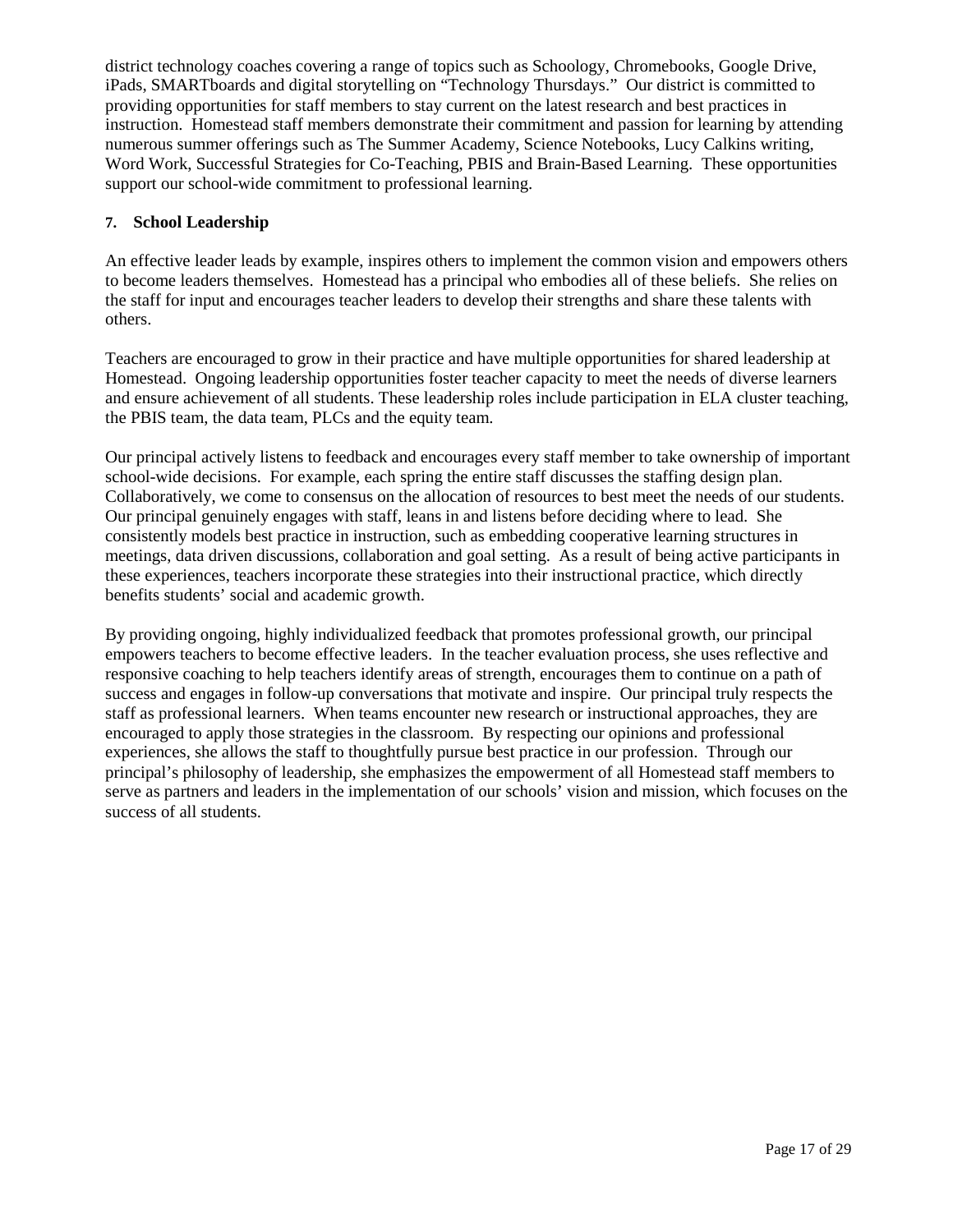district technology coaches covering a range of topics such as Schoology, Chromebooks, Google Drive, iPads, SMARTboards and digital storytelling on "Technology Thursdays." Our district is committed to providing opportunities for staff members to stay current on the latest research and best practices in instruction. Homestead staff members demonstrate their commitment and passion for learning by attending numerous summer offerings such as The Summer Academy, Science Notebooks, Lucy Calkins writing, Word Work, Successful Strategies for Co-Teaching, PBIS and Brain-Based Learning. These opportunities support our school-wide commitment to professional learning.

#### **7. School Leadership**

An effective leader leads by example, inspires others to implement the common vision and empowers others to become leaders themselves. Homestead has a principal who embodies all of these beliefs. She relies on the staff for input and encourages teacher leaders to develop their strengths and share these talents with others.

Teachers are encouraged to grow in their practice and have multiple opportunities for shared leadership at Homestead. Ongoing leadership opportunities foster teacher capacity to meet the needs of diverse learners and ensure achievement of all students. These leadership roles include participation in ELA cluster teaching, the PBIS team, the data team, PLCs and the equity team.

Our principal actively listens to feedback and encourages every staff member to take ownership of important school-wide decisions. For example, each spring the entire staff discusses the staffing design plan. Collaboratively, we come to consensus on the allocation of resources to best meet the needs of our students. Our principal genuinely engages with staff, leans in and listens before deciding where to lead. She consistently models best practice in instruction, such as embedding cooperative learning structures in meetings, data driven discussions, collaboration and goal setting. As a result of being active participants in these experiences, teachers incorporate these strategies into their instructional practice, which directly benefits students' social and academic growth.

By providing ongoing, highly individualized feedback that promotes professional growth, our principal empowers teachers to become effective leaders. In the teacher evaluation process, she uses reflective and responsive coaching to help teachers identify areas of strength, encourages them to continue on a path of success and engages in follow-up conversations that motivate and inspire. Our principal truly respects the staff as professional learners. When teams encounter new research or instructional approaches, they are encouraged to apply those strategies in the classroom. By respecting our opinions and professional experiences, she allows the staff to thoughtfully pursue best practice in our profession. Through our principal's philosophy of leadership, she emphasizes the empowerment of all Homestead staff members to serve as partners and leaders in the implementation of our schools' vision and mission, which focuses on the success of all students.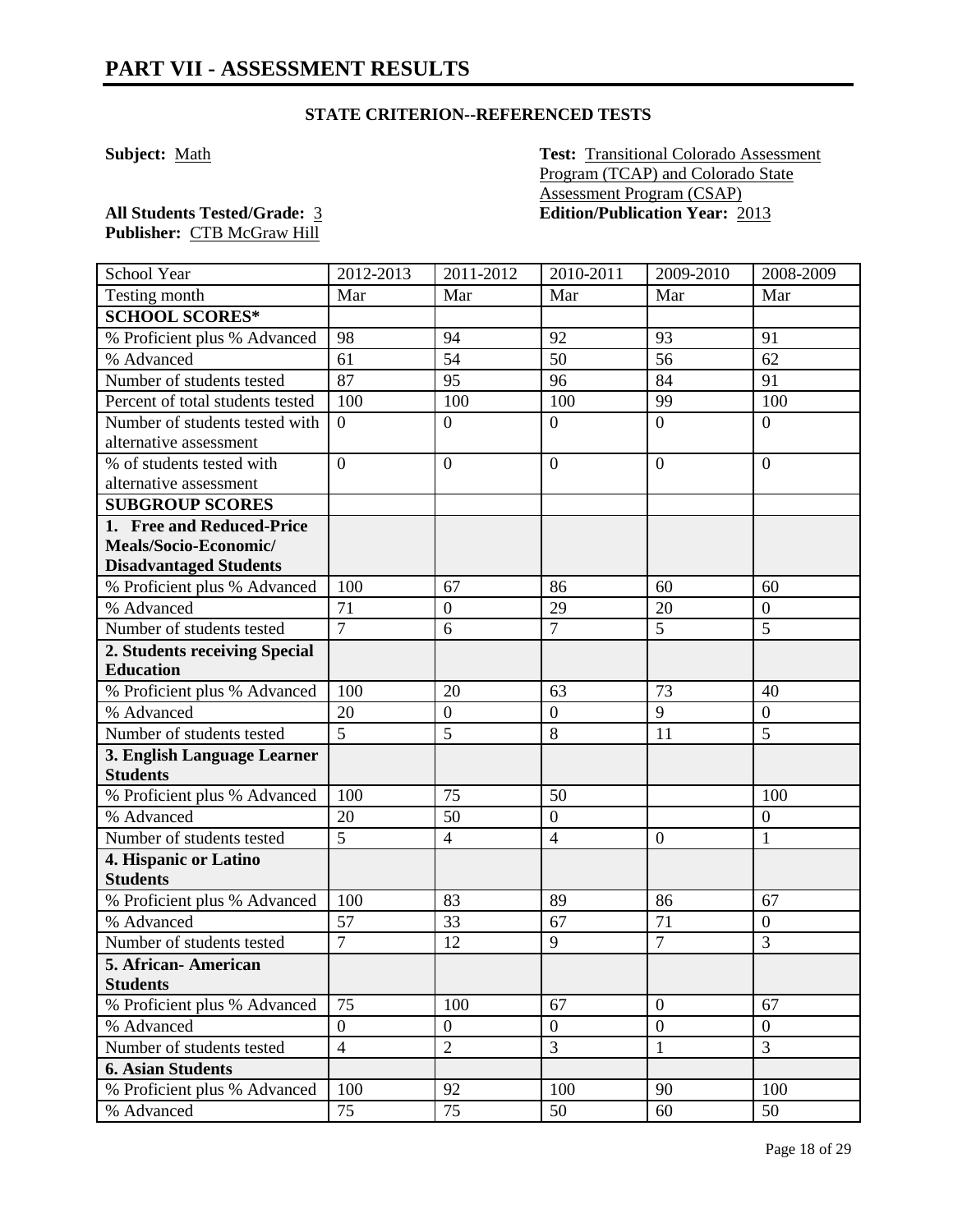**Subject:** Math **Test:** Transitional Colorado Assessment Program (TCAP) and Colorado State Assessment Program (CSAP) **All Students Tested/Grade:** 3 **Edition/Publication Year:** 2013

| School Year                                       | 2012-2013            | 2011-2012        | 2010-2011        | 2009-2010      | 2008-2009        |
|---------------------------------------------------|----------------------|------------------|------------------|----------------|------------------|
| Testing month                                     | Mar                  | Mar              | Mar              | Mar            | Mar              |
| <b>SCHOOL SCORES*</b>                             |                      |                  |                  |                |                  |
| % Proficient plus % Advanced                      | 98                   | 94               | 92               | 93             | 91               |
| % Advanced                                        | 61                   | 54               | 50               | 56             | 62               |
| Number of students tested                         | 87                   | 95               | 96               | 84             | 91               |
| Percent of total students tested                  | 100                  | 100              | 100              | 99             | 100              |
| Number of students tested with                    | $\overline{0}$       | $\boldsymbol{0}$ | $\overline{0}$   | $\overline{0}$ | $\overline{0}$   |
| alternative assessment                            |                      |                  |                  |                |                  |
| % of students tested with                         | $\overline{0}$       | $\overline{0}$   | $\overline{0}$   | $\overline{0}$ | $\theta$         |
| alternative assessment                            |                      |                  |                  |                |                  |
| <b>SUBGROUP SCORES</b>                            |                      |                  |                  |                |                  |
| 1. Free and Reduced-Price                         |                      |                  |                  |                |                  |
| Meals/Socio-Economic/                             |                      |                  |                  |                |                  |
| <b>Disadvantaged Students</b>                     |                      |                  |                  |                |                  |
| % Proficient plus % Advanced                      | 100                  | 67               | 86               | 60             | 60               |
| % Advanced                                        | 71<br>$\overline{7}$ | $\overline{0}$   | 29               | 20             | $\overline{0}$   |
| Number of students tested                         |                      | 6                | $\overline{7}$   | $\overline{5}$ | 5                |
| 2. Students receiving Special<br><b>Education</b> |                      |                  |                  |                |                  |
|                                                   | 100                  | 20               | 63               | 73             | 40               |
| % Proficient plus % Advanced<br>% Advanced        | 20                   | $\boldsymbol{0}$ | $\boldsymbol{0}$ | $\overline{9}$ | $\boldsymbol{0}$ |
| Number of students tested                         | 5                    | 5                | 8                | 11             | 5                |
| 3. English Language Learner                       |                      |                  |                  |                |                  |
| <b>Students</b>                                   |                      |                  |                  |                |                  |
| % Proficient plus % Advanced                      | 100                  | 75               | 50               |                | 100              |
| % Advanced                                        | 20                   | 50               | $\overline{0}$   |                | $\mathbf{0}$     |
| Number of students tested                         | 5                    | $\overline{4}$   | $\overline{4}$   | $\mathbf{0}$   | $\mathbf{1}$     |
| 4. Hispanic or Latino                             |                      |                  |                  |                |                  |
| <b>Students</b>                                   |                      |                  |                  |                |                  |
| % Proficient plus % Advanced                      | 100                  | 83               | 89               | 86             | 67               |
| % Advanced                                        | 57                   | 33               | 67               | 71             | $\boldsymbol{0}$ |
| Number of students tested                         | $\overline{7}$       | 12               | 9                | $\overline{7}$ | 3                |
| 5. African- American                              |                      |                  |                  |                |                  |
| <b>Students</b>                                   |                      |                  |                  |                |                  |
| % Proficient plus % Advanced                      | 75                   | 100              | 67               | $\mathbf{0}$   | 67               |
| % Advanced                                        | $\overline{0}$       | $\mathbf{0}$     | $\overline{0}$   | $\mathbf{0}$   | $\overline{0}$   |
| Number of students tested                         | $\overline{4}$       | $\overline{2}$   | $\overline{3}$   | $\mathbf{1}$   | 3                |
| <b>6. Asian Students</b>                          |                      |                  |                  |                |                  |
| % Proficient plus % Advanced                      | 100                  | 92               | 100              | 90             | 100              |
| % Advanced                                        | 75                   | 75               | 50               | 60             | 50               |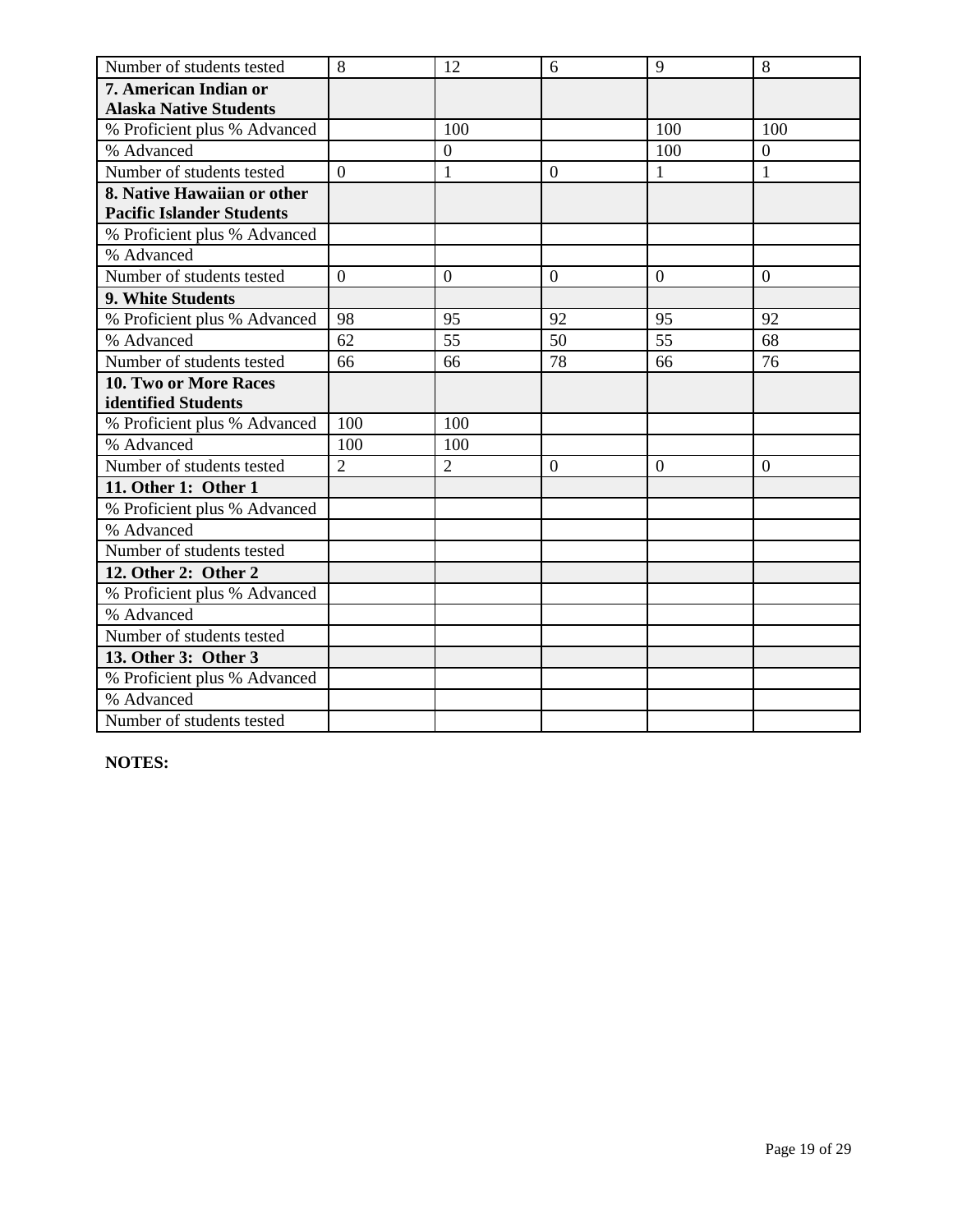| Number of students tested        | 8              | 12               | 6              | 9               | 8              |
|----------------------------------|----------------|------------------|----------------|-----------------|----------------|
| 7. American Indian or            |                |                  |                |                 |                |
| <b>Alaska Native Students</b>    |                |                  |                |                 |                |
| % Proficient plus % Advanced     |                | 100              |                | 100             | 100            |
| % Advanced                       |                | $\boldsymbol{0}$ |                | 100             | $\overline{0}$ |
| Number of students tested        | $\theta$       | $\mathbf{1}$     | $\theta$       | $\mathbf{1}$    | $\mathbf{1}$   |
| 8. Native Hawaiian or other      |                |                  |                |                 |                |
| <b>Pacific Islander Students</b> |                |                  |                |                 |                |
| % Proficient plus % Advanced     |                |                  |                |                 |                |
| % Advanced                       |                |                  |                |                 |                |
| Number of students tested        | $\overline{0}$ | $\theta$         | $\overline{0}$ | $\overline{0}$  | $\overline{0}$ |
| 9. White Students                |                |                  |                |                 |                |
| % Proficient plus % Advanced     | 98             | 95               | 92             | 95              | 92             |
| % Advanced                       | 62             | 55               | 50             | $\overline{55}$ | 68             |
| Number of students tested        | 66             | 66               | 78             | 66              | 76             |
| 10. Two or More Races            |                |                  |                |                 |                |
| identified Students              |                |                  |                |                 |                |
| % Proficient plus % Advanced     | 100            | 100              |                |                 |                |
| % Advanced                       | 100            | 100              |                |                 |                |
| Number of students tested        | $\overline{2}$ | $\overline{2}$   | $\overline{0}$ | $\overline{0}$  | $\overline{0}$ |
| 11. Other 1: Other 1             |                |                  |                |                 |                |
| % Proficient plus % Advanced     |                |                  |                |                 |                |
| % Advanced                       |                |                  |                |                 |                |
| Number of students tested        |                |                  |                |                 |                |
| 12. Other 2: Other 2             |                |                  |                |                 |                |
| % Proficient plus % Advanced     |                |                  |                |                 |                |
| % Advanced                       |                |                  |                |                 |                |
| Number of students tested        |                |                  |                |                 |                |
| 13. Other 3: Other 3             |                |                  |                |                 |                |
| % Proficient plus % Advanced     |                |                  |                |                 |                |
| % Advanced                       |                |                  |                |                 |                |
| Number of students tested        |                |                  |                |                 |                |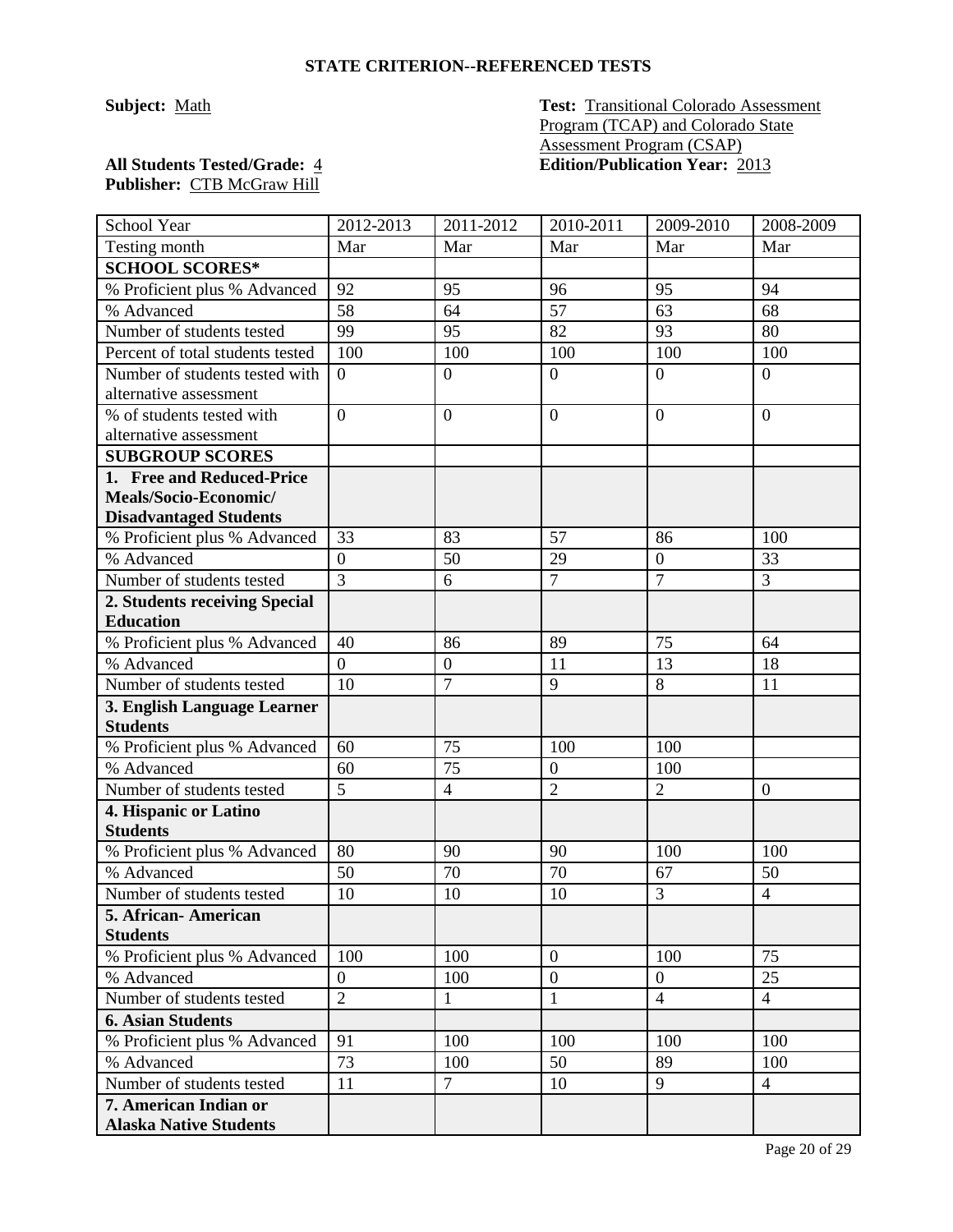**Subject:** Math **Test: Transitional Colorado Assessment** Program (TCAP) and Colorado State Assessment Program (CSAP) **All Students Tested/Grade:** 4 **Edition/Publication Year:** 2013

| School Year                                     | 2012-2013      | 2011-2012        | 2010-2011        | 2009-2010      | 2008-2009        |
|-------------------------------------------------|----------------|------------------|------------------|----------------|------------------|
| Testing month                                   | Mar            | Mar              | Mar              | Mar            | Mar              |
| <b>SCHOOL SCORES*</b>                           |                |                  |                  |                |                  |
| % Proficient plus % Advanced                    | 92             | 95               | 96               | 95             | 94               |
| % Advanced                                      | 58             | 64               | 57               | 63             | 68               |
| Number of students tested                       | 99             | 95               | 82               | 93             | 80               |
| Percent of total students tested                | 100            | 100              | 100              | 100            | 100              |
| Number of students tested with                  | $\overline{0}$ | $\boldsymbol{0}$ | $\overline{0}$   | $\overline{0}$ | $\boldsymbol{0}$ |
| alternative assessment                          |                |                  |                  |                |                  |
| % of students tested with                       | $\overline{0}$ | $\overline{0}$   | $\mathbf{0}$     | $\overline{0}$ | $\overline{0}$   |
| alternative assessment                          |                |                  |                  |                |                  |
| <b>SUBGROUP SCORES</b>                          |                |                  |                  |                |                  |
| 1. Free and Reduced-Price                       |                |                  |                  |                |                  |
| Meals/Socio-Economic/                           |                |                  |                  |                |                  |
| <b>Disadvantaged Students</b>                   |                |                  |                  |                |                  |
| % Proficient plus % Advanced                    | 33             | 83               | 57               | 86             | 100              |
| % Advanced                                      | $\overline{0}$ | 50               | 29               | $\overline{0}$ | 33               |
| Number of students tested                       | $\overline{3}$ | 6                | $\overline{7}$   | $\overline{7}$ | 3                |
| 2. Students receiving Special                   |                |                  |                  |                |                  |
| <b>Education</b>                                |                |                  |                  |                |                  |
| % Proficient plus % Advanced                    | 40             | 86               | 89               | 75             | 64               |
| % Advanced                                      | $\overline{0}$ | $\boldsymbol{0}$ | 11               | 13             | 18               |
| Number of students tested                       | 10             | $\overline{7}$   | 9                | 8              | 11               |
| 3. English Language Learner                     |                |                  |                  |                |                  |
| <b>Students</b><br>% Proficient plus % Advanced | 60             | 75               | 100              | 100            |                  |
| % Advanced                                      | 60             | 75               | $\mathbf{0}$     | 100            |                  |
| Number of students tested                       | $\overline{5}$ | $\overline{4}$   | $\overline{2}$   | $\overline{2}$ | $\mathbf{0}$     |
| 4. Hispanic or Latino                           |                |                  |                  |                |                  |
| <b>Students</b>                                 |                |                  |                  |                |                  |
| % Proficient plus % Advanced                    | 80             | 90               | 90               | 100            | 100              |
| % Advanced                                      | 50             | 70               | 70               | 67             | 50               |
| Number of students tested                       | 10             | 10               | 10               | 3              | $\overline{4}$   |
| 5. African- American                            |                |                  |                  |                |                  |
| <b>Students</b>                                 |                |                  |                  |                |                  |
| % Proficient plus % Advanced                    | 100            | 100              | $\mathbf{0}$     | 100            | 75               |
| % Advanced                                      | $\overline{0}$ | 100              | $\boldsymbol{0}$ | $\overline{0}$ | 25               |
| Number of students tested                       | $\overline{2}$ | $\mathbf{1}$     | $\mathbf{1}$     | $\overline{4}$ | $\overline{4}$   |
| <b>6. Asian Students</b>                        |                |                  |                  |                |                  |
| % Proficient plus % Advanced                    | 91             | 100              | 100              | 100            | 100              |
| % Advanced                                      | 73             | 100              | 50               | 89             | 100              |
| Number of students tested                       | 11             | $\tau$           | 10               | 9              | $\overline{4}$   |
| 7. American Indian or                           |                |                  |                  |                |                  |
| <b>Alaska Native Students</b>                   |                |                  |                  |                |                  |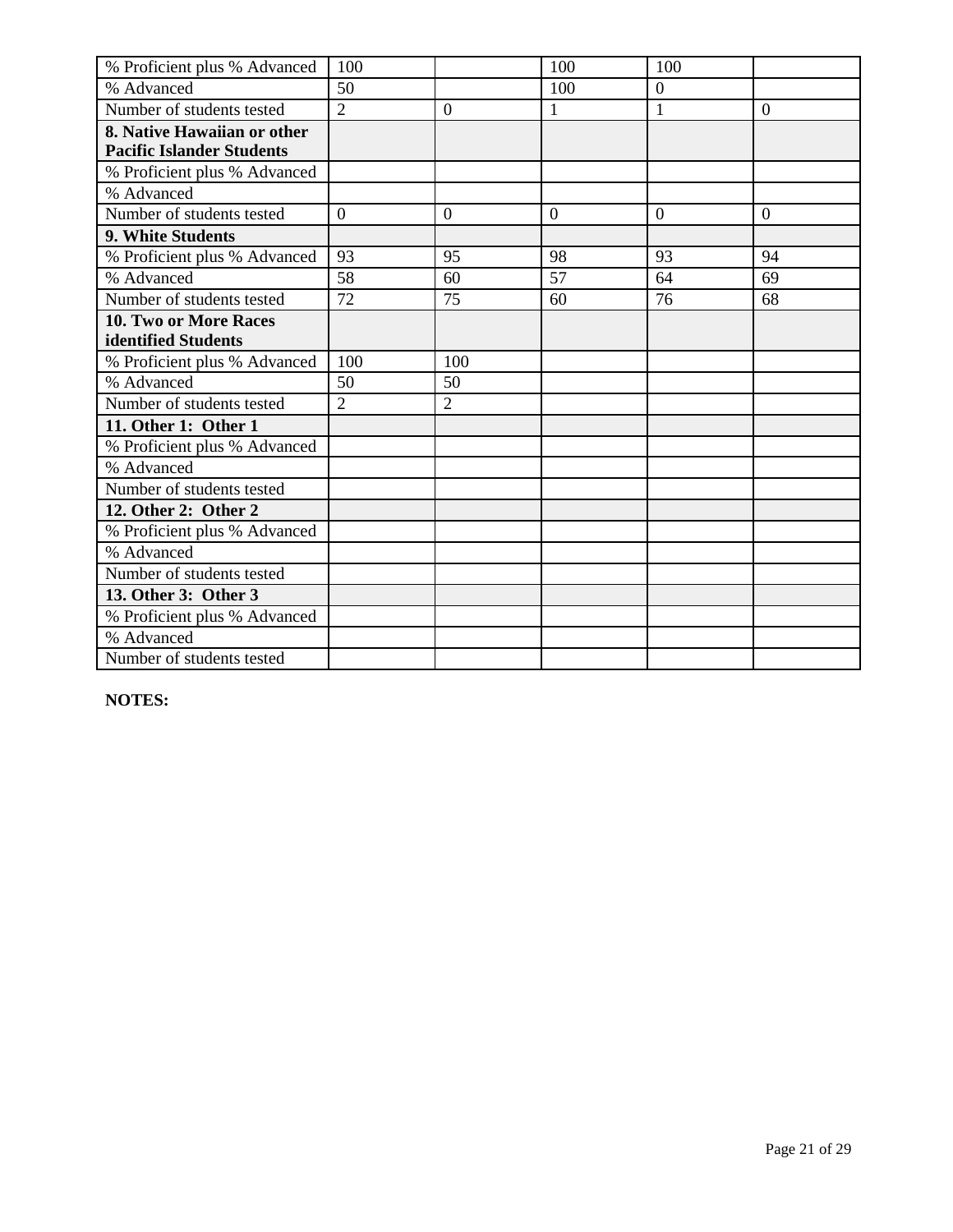| % Proficient plus % Advanced     | 100            |                | 100            | 100            |                |
|----------------------------------|----------------|----------------|----------------|----------------|----------------|
| % Advanced                       | 50             |                | 100            | $\overline{0}$ |                |
| Number of students tested        | $\overline{2}$ | $\overline{0}$ | 1              | 1              | $\overline{0}$ |
| 8. Native Hawaiian or other      |                |                |                |                |                |
| <b>Pacific Islander Students</b> |                |                |                |                |                |
| % Proficient plus % Advanced     |                |                |                |                |                |
| % Advanced                       |                |                |                |                |                |
| Number of students tested        | $\overline{0}$ | $\overline{0}$ | $\overline{0}$ | $\overline{0}$ | $\overline{0}$ |
| 9. White Students                |                |                |                |                |                |
| % Proficient plus % Advanced     | 93             | 95             | 98             | 93             | 94             |
| % Advanced                       | 58             | 60             | 57             | 64             | 69             |
| Number of students tested        | 72             | 75             | 60             | 76             | 68             |
| 10. Two or More Races            |                |                |                |                |                |
| identified Students              |                |                |                |                |                |
| % Proficient plus % Advanced     | 100            | 100            |                |                |                |
| % Advanced                       | 50             | 50             |                |                |                |
| Number of students tested        | $\overline{2}$ | $\overline{2}$ |                |                |                |
| 11. Other 1: Other 1             |                |                |                |                |                |
| % Proficient plus % Advanced     |                |                |                |                |                |
| % Advanced                       |                |                |                |                |                |
| Number of students tested        |                |                |                |                |                |
| 12. Other 2: Other 2             |                |                |                |                |                |
| % Proficient plus % Advanced     |                |                |                |                |                |
| % Advanced                       |                |                |                |                |                |
| Number of students tested        |                |                |                |                |                |
| 13. Other 3: Other 3             |                |                |                |                |                |
| % Proficient plus % Advanced     |                |                |                |                |                |
| % Advanced                       |                |                |                |                |                |
| Number of students tested        |                |                |                |                |                |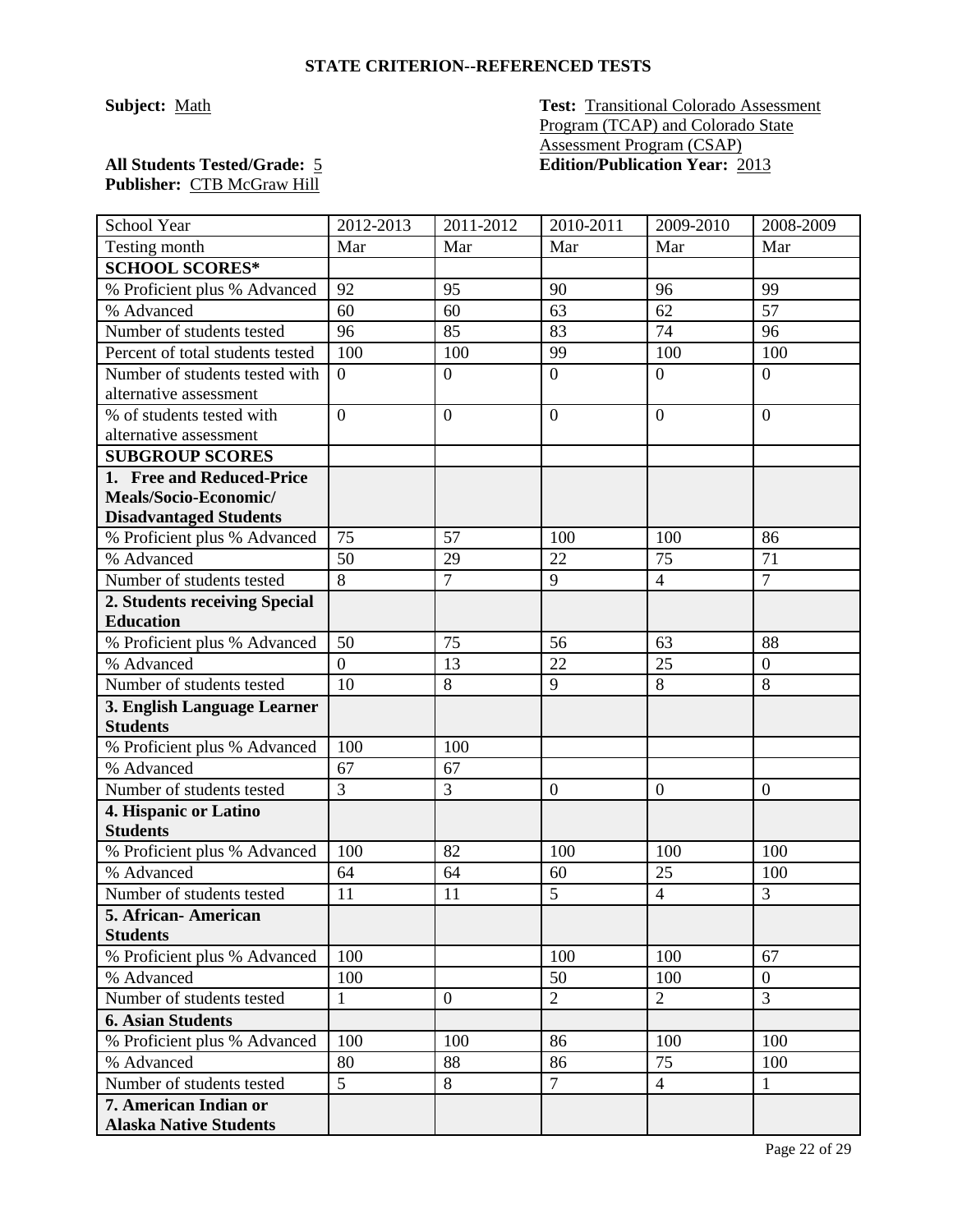**Subject:** Math **Test: Transitional Colorado Assessment** Program (TCAP) and Colorado State Assessment Program (CSAP) **All Students Tested/Grade:** 5 **Edition/Publication Year:** 2013

| School Year                                       | 2012-2013      | $2011 - 2012$    | 2010-2011      | 2009-2010        | 2008-2009        |
|---------------------------------------------------|----------------|------------------|----------------|------------------|------------------|
| Testing month                                     | Mar            | Mar              | Mar            | Mar              | Mar              |
| <b>SCHOOL SCORES*</b>                             |                |                  |                |                  |                  |
| % Proficient plus % Advanced                      | 92             | 95               | 90             | 96               | 99               |
| % Advanced                                        | 60             | 60               | 63             | 62               | 57               |
| Number of students tested                         | 96             | 85               | 83             | 74               | 96               |
| Percent of total students tested                  | 100            | 100              | 99             | 100              | 100              |
| Number of students tested with                    | $\overline{0}$ | $\overline{0}$   | $\overline{0}$ | $\overline{0}$   | $\overline{0}$   |
| alternative assessment                            |                |                  |                |                  |                  |
| % of students tested with                         | $\overline{0}$ | $\boldsymbol{0}$ | $\overline{0}$ | $\overline{0}$   | $\theta$         |
| alternative assessment                            |                |                  |                |                  |                  |
| <b>SUBGROUP SCORES</b>                            |                |                  |                |                  |                  |
| 1. Free and Reduced-Price                         |                |                  |                |                  |                  |
| Meals/Socio-Economic/                             |                |                  |                |                  |                  |
| <b>Disadvantaged Students</b>                     |                |                  |                |                  |                  |
| % Proficient plus % Advanced                      | 75             | 57               | 100            | 100              | 86               |
| % Advanced                                        | 50             | 29               | 22             | 75               | 71               |
| Number of students tested                         | $\overline{8}$ | $\overline{7}$   | 9              | $\overline{4}$   | $\overline{7}$   |
| 2. Students receiving Special<br><b>Education</b> |                |                  |                |                  |                  |
| % Proficient plus % Advanced                      | 50             | 75               | 56             | 63               | 88               |
| % Advanced                                        | $\overline{0}$ |                  | 22             | 25               | $\boldsymbol{0}$ |
|                                                   | 10             | 13<br>8          | 9              | 8                | 8                |
| Number of students tested                         |                |                  |                |                  |                  |
| 3. English Language Learner<br><b>Students</b>    |                |                  |                |                  |                  |
| % Proficient plus % Advanced                      | 100            | 100              |                |                  |                  |
| % Advanced                                        | 67             | 67               |                |                  |                  |
| Number of students tested                         | 3              | 3                | $\mathbf{0}$   | $\boldsymbol{0}$ | $\mathbf{0}$     |
| 4. Hispanic or Latino                             |                |                  |                |                  |                  |
| <b>Students</b>                                   |                |                  |                |                  |                  |
| % Proficient plus % Advanced                      | 100            | 82               | 100            | 100              | 100              |
| % Advanced                                        | 64             | 64               | 60             | 25               | 100              |
| Number of students tested                         | 11             | 11               | 5              | $\overline{4}$   | 3                |
| 5. African-American                               |                |                  |                |                  |                  |
| <b>Students</b>                                   |                |                  |                |                  |                  |
| % Proficient plus % Advanced                      | 100            |                  | 100            | 100              | 67               |
| % Advanced                                        | 100            |                  | 50             | 100              | $\overline{0}$   |
| Number of students tested                         | $\mathbf{1}$   | $\overline{0}$   | $\overline{2}$ | $\overline{2}$   | 3                |
| <b>6. Asian Students</b>                          |                |                  |                |                  |                  |
| % Proficient plus % Advanced                      | 100            | 100              | 86             | 100              | 100              |
| % Advanced                                        | 80             | 88               | 86             | 75               | 100              |
| Number of students tested                         | 5 <sup>5</sup> | 8                | $\tau$         | $\overline{4}$   | $\mathbf{1}$     |
| 7. American Indian or                             |                |                  |                |                  |                  |
| <b>Alaska Native Students</b>                     |                |                  |                |                  |                  |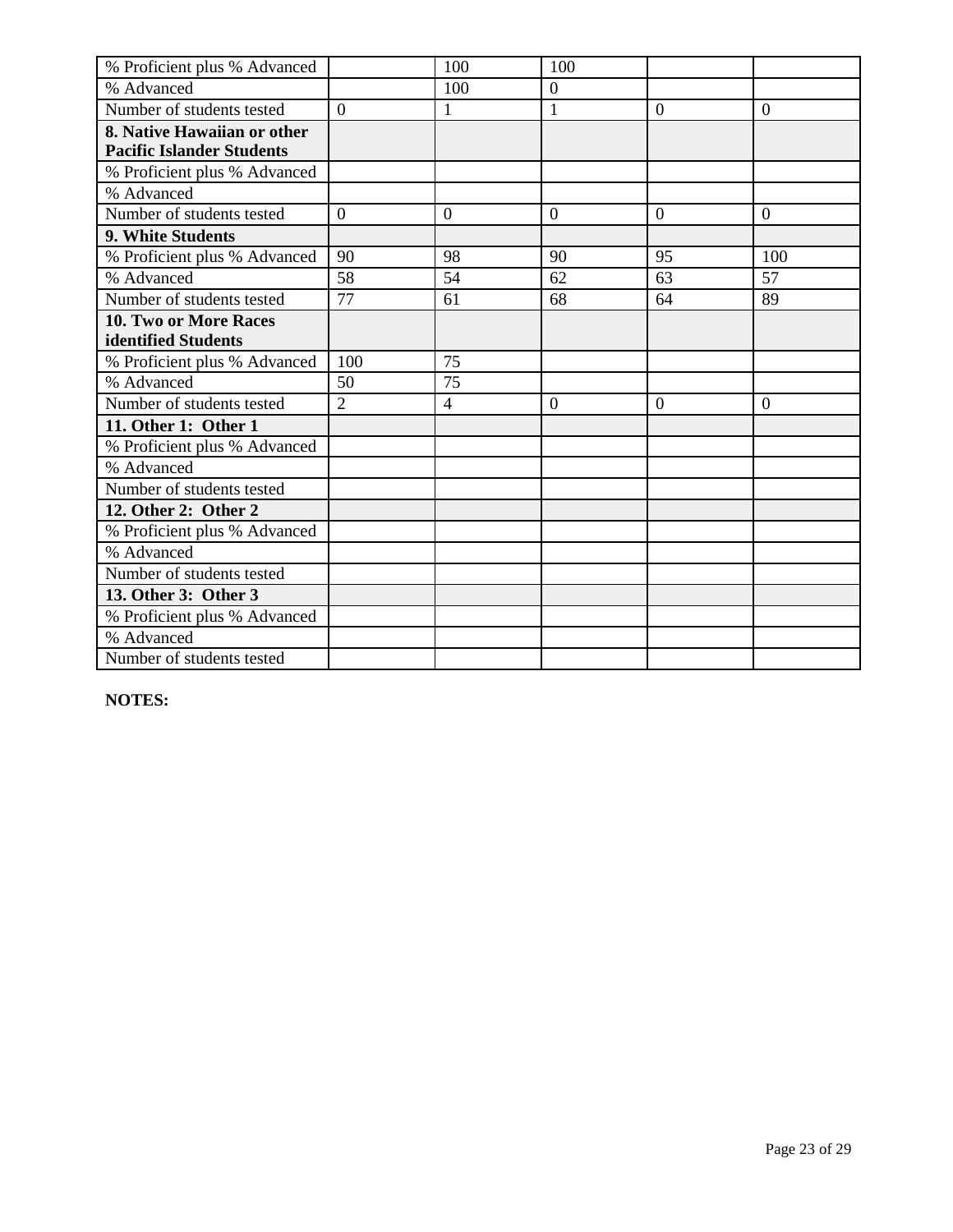| % Proficient plus % Advanced     |                | 100              | 100              |                |                |
|----------------------------------|----------------|------------------|------------------|----------------|----------------|
| % Advanced                       |                | 100              | $\boldsymbol{0}$ |                |                |
| Number of students tested        | $\Omega$       | $\mathbf{1}$     | $\mathbf{1}$     | $\overline{0}$ | $\overline{0}$ |
| 8. Native Hawaiian or other      |                |                  |                  |                |                |
| <b>Pacific Islander Students</b> |                |                  |                  |                |                |
| % Proficient plus % Advanced     |                |                  |                  |                |                |
| % Advanced                       |                |                  |                  |                |                |
| Number of students tested        | $\overline{0}$ | $\boldsymbol{0}$ | $\overline{0}$   | $\overline{0}$ | $\overline{0}$ |
| 9. White Students                |                |                  |                  |                |                |
| % Proficient plus % Advanced     | 90             | 98               | 90               | 95             | 100            |
| % Advanced                       | 58             | 54               | 62               | 63             | 57             |
| Number of students tested        | 77             | 61               | 68               | 64             | 89             |
| <b>10. Two or More Races</b>     |                |                  |                  |                |                |
| identified Students              |                |                  |                  |                |                |
| % Proficient plus % Advanced     | 100            | 75               |                  |                |                |
| % Advanced                       | 50             | 75               |                  |                |                |
| Number of students tested        | $\overline{2}$ | $\overline{4}$   | $\Omega$         | $\Omega$       | $\Omega$       |
| 11. Other 1: Other 1             |                |                  |                  |                |                |
| % Proficient plus % Advanced     |                |                  |                  |                |                |
| % Advanced                       |                |                  |                  |                |                |
| Number of students tested        |                |                  |                  |                |                |
| 12. Other 2: Other 2             |                |                  |                  |                |                |
| % Proficient plus % Advanced     |                |                  |                  |                |                |
| % Advanced                       |                |                  |                  |                |                |
| Number of students tested        |                |                  |                  |                |                |
| 13. Other 3: Other 3             |                |                  |                  |                |                |
| % Proficient plus % Advanced     |                |                  |                  |                |                |
| % Advanced                       |                |                  |                  |                |                |
| Number of students tested        |                |                  |                  |                |                |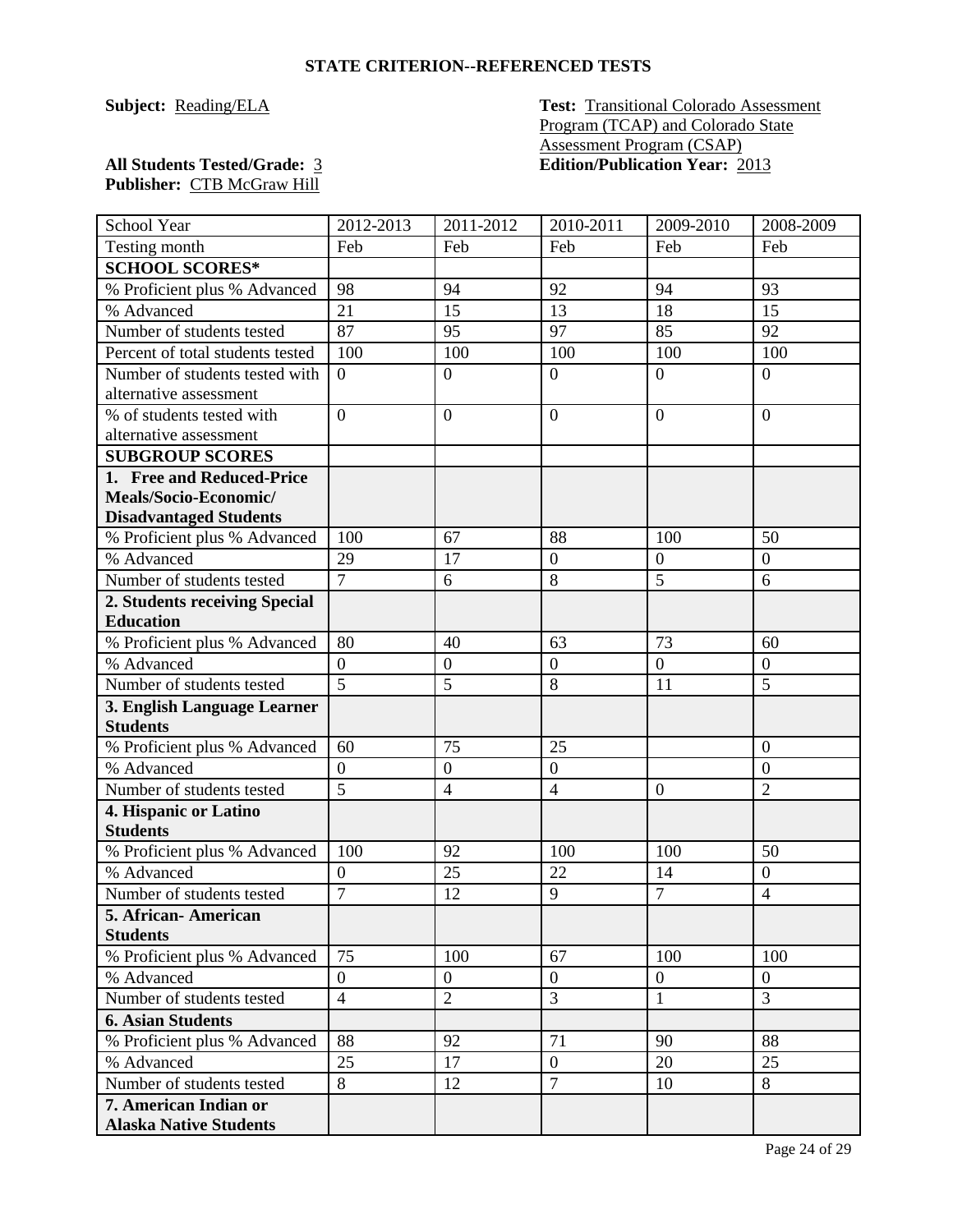**Subject: Reading/ELA Test:** Transitional Colorado Assessment Program (TCAP) and Colorado State Assessment Program (CSAP) **All Students Tested/Grade:** 3 **Edition/Publication Year:** 2013

| School Year                              | 2012-2013                          | $2011 - 2012$    | 2010-2011                      | 2009-2010        | 2008-2009                        |
|------------------------------------------|------------------------------------|------------------|--------------------------------|------------------|----------------------------------|
| Testing month                            | Feb                                | Feb              | Feb                            | Feb              | Feb                              |
| <b>SCHOOL SCORES*</b>                    |                                    |                  |                                |                  |                                  |
| % Proficient plus % Advanced             | 98                                 | 94               | 92                             | 94               | 93                               |
| % Advanced                               | 21                                 | 15               | 13                             | 18               | 15                               |
| Number of students tested                | 87                                 | 95               | 97                             | 85               | 92                               |
| Percent of total students tested         | 100                                | 100              | 100                            | 100              | 100                              |
| Number of students tested with           | $\overline{0}$                     | $\boldsymbol{0}$ | $\overline{0}$                 | $\overline{0}$   | $\boldsymbol{0}$                 |
| alternative assessment                   |                                    |                  |                                |                  |                                  |
| % of students tested with                | $\overline{0}$                     | $\overline{0}$   | $\mathbf{0}$                   | $\overline{0}$   | $\overline{0}$                   |
| alternative assessment                   |                                    |                  |                                |                  |                                  |
| <b>SUBGROUP SCORES</b>                   |                                    |                  |                                |                  |                                  |
| 1. Free and Reduced-Price                |                                    |                  |                                |                  |                                  |
| Meals/Socio-Economic/                    |                                    |                  |                                |                  |                                  |
| <b>Disadvantaged Students</b>            |                                    |                  |                                |                  |                                  |
| % Proficient plus % Advanced             | 100                                | 67               | 88                             | 100              | 50                               |
| % Advanced                               | 29                                 | 17               | $\mathbf{0}$                   | $\overline{0}$   | $\overline{0}$                   |
| Number of students tested                | $\overline{7}$                     | 6                | $8\,$                          | 5                | 6                                |
| 2. Students receiving Special            |                                    |                  |                                |                  |                                  |
| <b>Education</b>                         |                                    |                  |                                |                  |                                  |
| % Proficient plus % Advanced             | 80                                 | 40               | 63                             | 73               | 60                               |
| % Advanced                               | $\boldsymbol{0}$                   | $\boldsymbol{0}$ | $\boldsymbol{0}$               | $\boldsymbol{0}$ | $\boldsymbol{0}$                 |
| Number of students tested                | $\overline{5}$                     | 5                | 8                              | 11               | 5                                |
| 3. English Language Learner              |                                    |                  |                                |                  |                                  |
| <b>Students</b>                          |                                    | 75               |                                |                  |                                  |
| % Proficient plus % Advanced             | 60                                 |                  | 25                             |                  | $\overline{0}$                   |
| % Advanced                               | $\boldsymbol{0}$<br>$\overline{5}$ | $\boldsymbol{0}$ | $\mathbf{0}$<br>$\overline{4}$ |                  | $\overline{0}$<br>$\overline{2}$ |
| Number of students tested                |                                    | $\overline{4}$   |                                | $\overline{0}$   |                                  |
| 4. Hispanic or Latino<br><b>Students</b> |                                    |                  |                                |                  |                                  |
| % Proficient plus % Advanced             | 100                                | 92               | 100                            | 100              | 50                               |
| % Advanced                               | $\boldsymbol{0}$                   | 25               | 22                             | 14               | $\boldsymbol{0}$                 |
| Number of students tested                | $\overline{7}$                     | 12               | 9                              | $\overline{7}$   | $\overline{4}$                   |
| 5. African- American                     |                                    |                  |                                |                  |                                  |
| <b>Students</b>                          |                                    |                  |                                |                  |                                  |
| % Proficient plus % Advanced             | 75                                 | 100              | 67                             | 100              | 100                              |
| % Advanced                               | $\overline{0}$                     | $\overline{0}$   | $\overline{0}$                 | $\overline{0}$   | $\overline{0}$                   |
| Number of students tested                | $\overline{4}$                     | $\overline{c}$   | $\overline{3}$                 | $\mathbf{1}$     | 3                                |
| <b>6. Asian Students</b>                 |                                    |                  |                                |                  |                                  |
| % Proficient plus % Advanced             | 88                                 | 92               | 71                             | 90               | 88                               |
| % Advanced                               | 25                                 | 17               | $\boldsymbol{0}$               | 20               | 25                               |
| Number of students tested                | 8                                  | 12               | $\tau$                         | 10               | 8                                |
| 7. American Indian or                    |                                    |                  |                                |                  |                                  |
| <b>Alaska Native Students</b>            |                                    |                  |                                |                  |                                  |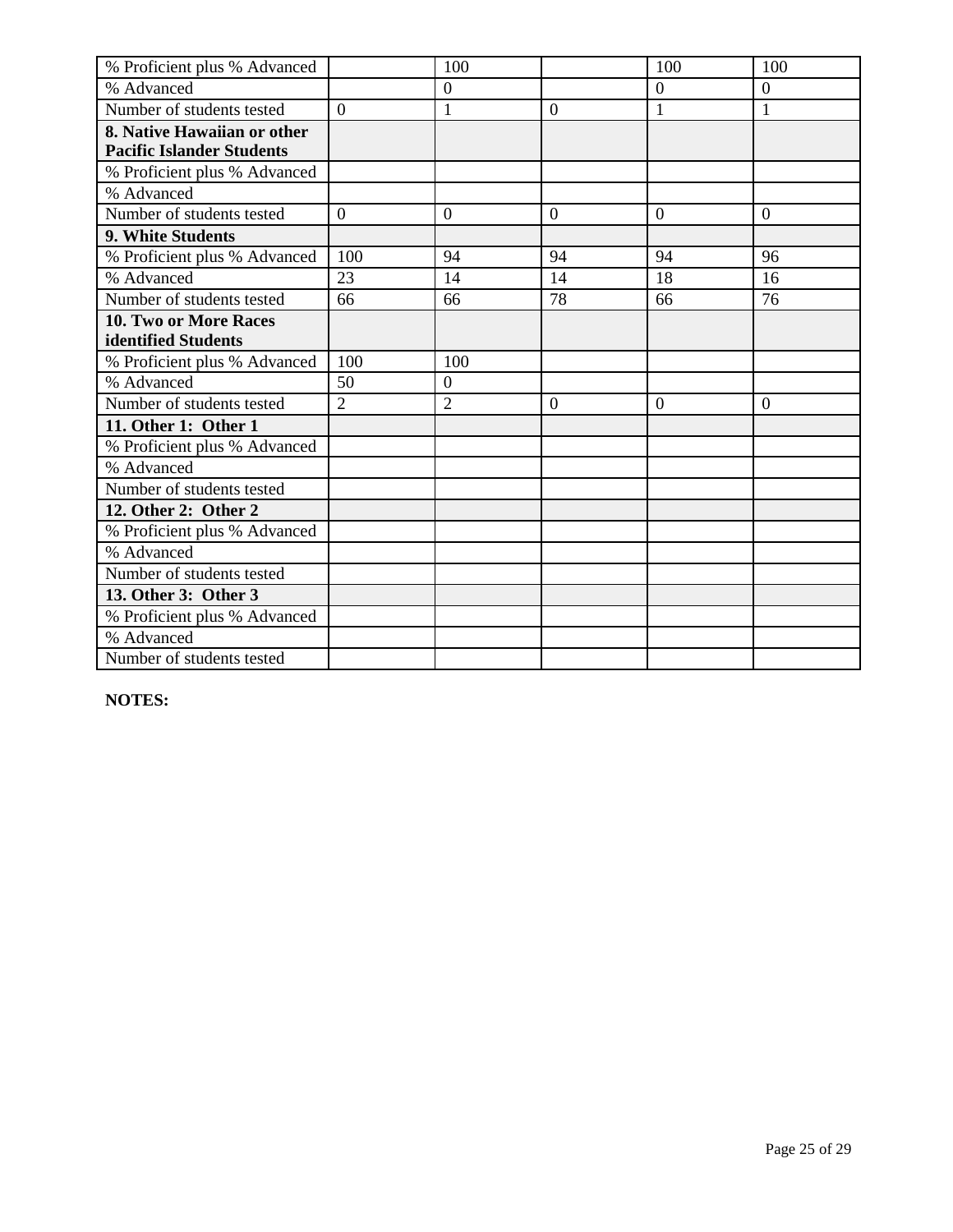| % Proficient plus % Advanced     |                | 100            |                | 100              | 100              |
|----------------------------------|----------------|----------------|----------------|------------------|------------------|
| % Advanced                       |                | $\overline{0}$ |                | $\boldsymbol{0}$ | $\boldsymbol{0}$ |
| Number of students tested        | $\Omega$       | $\mathbf{1}$   | $\Omega$       | 1                | 1                |
| 8. Native Hawaiian or other      |                |                |                |                  |                  |
| <b>Pacific Islander Students</b> |                |                |                |                  |                  |
| % Proficient plus % Advanced     |                |                |                |                  |                  |
| % Advanced                       |                |                |                |                  |                  |
| Number of students tested        | $\overline{0}$ | $\mathbf{0}$   | $\overline{0}$ | $\mathbf{0}$     | $\overline{0}$   |
| 9. White Students                |                |                |                |                  |                  |
| % Proficient plus % Advanced     | 100            | 94             | 94             | 94               | 96               |
| % Advanced                       | 23             | 14             | 14             | 18               | 16               |
| Number of students tested        | 66             | 66             | 78             | 66               | 76               |
| <b>10. Two or More Races</b>     |                |                |                |                  |                  |
| identified Students              |                |                |                |                  |                  |
| % Proficient plus % Advanced     | 100            | 100            |                |                  |                  |
| % Advanced                       | 50             | $\mathbf{0}$   |                |                  |                  |
| Number of students tested        | $\overline{2}$ | $\overline{2}$ | $\Omega$       | $\theta$         | $\overline{0}$   |
| 11. Other 1: Other 1             |                |                |                |                  |                  |
| % Proficient plus % Advanced     |                |                |                |                  |                  |
| % Advanced                       |                |                |                |                  |                  |
| Number of students tested        |                |                |                |                  |                  |
| 12. Other 2: Other 2             |                |                |                |                  |                  |
| % Proficient plus % Advanced     |                |                |                |                  |                  |
| % Advanced                       |                |                |                |                  |                  |
| Number of students tested        |                |                |                |                  |                  |
| 13. Other 3: Other 3             |                |                |                |                  |                  |
| % Proficient plus % Advanced     |                |                |                |                  |                  |
| % Advanced                       |                |                |                |                  |                  |
| Number of students tested        |                |                |                |                  |                  |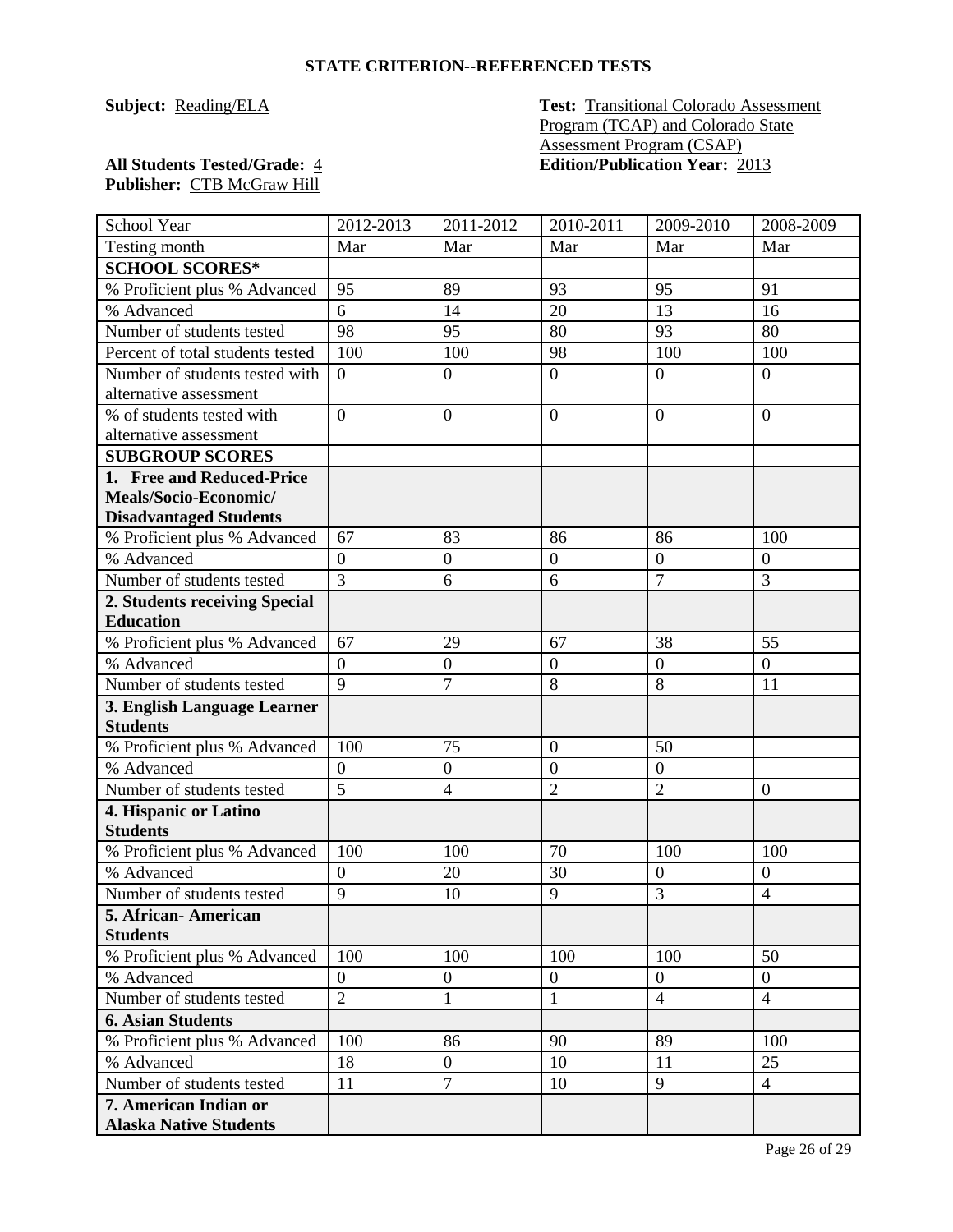**Subject: Reading/ELA Test:** Transitional Colorado Assessment Program (TCAP) and Colorado State Assessment Program (CSAP) **All Students Tested/Grade:** 4 **Edition/Publication Year:** 2013

| School Year                                | 2012-2013        | 2011-2012        | 2010-2011        | 2009-2010        | 2008-2009        |
|--------------------------------------------|------------------|------------------|------------------|------------------|------------------|
| Testing month                              | Mar              | Mar              | Mar              | Mar              | Mar              |
| <b>SCHOOL SCORES*</b>                      |                  |                  |                  |                  |                  |
| % Proficient plus % Advanced               | 95               | 89               | 93               | 95               | 91               |
| % Advanced                                 | 6                | 14               | 20               | 13               | 16               |
| Number of students tested                  | 98               | 95               | 80               | 93               | 80               |
| Percent of total students tested           | 100              | 100              | 98               | 100              | 100              |
| Number of students tested with             | $\overline{0}$   | $\overline{0}$   | $\overline{0}$   | $\overline{0}$   | $\boldsymbol{0}$ |
| alternative assessment                     |                  |                  |                  |                  |                  |
| % of students tested with                  | $\overline{0}$   | $\overline{0}$   | $\boldsymbol{0}$ | $\overline{0}$   | $\overline{0}$   |
| alternative assessment                     |                  |                  |                  |                  |                  |
| <b>SUBGROUP SCORES</b>                     |                  |                  |                  |                  |                  |
| 1. Free and Reduced-Price                  |                  |                  |                  |                  |                  |
| Meals/Socio-Economic/                      |                  |                  |                  |                  |                  |
| <b>Disadvantaged Students</b>              |                  |                  |                  |                  |                  |
| % Proficient plus % Advanced               | 67               | 83               | 86               | 86               | 100              |
| % Advanced                                 | $\overline{0}$   | $\boldsymbol{0}$ | $\mathbf{0}$     | $\boldsymbol{0}$ | $\overline{0}$   |
| Number of students tested                  | $\overline{3}$   | 6                | 6                | $\overline{7}$   | $\overline{3}$   |
| 2. Students receiving Special              |                  |                  |                  |                  |                  |
| <b>Education</b>                           |                  |                  |                  |                  |                  |
| % Proficient plus % Advanced               | 67               | 29               | 67               | 38               | 55               |
| % Advanced                                 | $\boldsymbol{0}$ | $\boldsymbol{0}$ | $\boldsymbol{0}$ | $\boldsymbol{0}$ | $\boldsymbol{0}$ |
| Number of students tested                  | 9                | $\overline{7}$   | 8                | 8                | 11               |
| 3. English Language Learner                |                  |                  |                  |                  |                  |
| <b>Students</b>                            |                  |                  |                  |                  |                  |
| % Proficient plus % Advanced               | 100              | 75               | $\overline{0}$   | 50               |                  |
| % Advanced                                 | $\boldsymbol{0}$ | $\boldsymbol{0}$ | $\overline{0}$   | $\overline{0}$   |                  |
| Number of students tested                  | $\overline{5}$   | $\overline{4}$   | $\overline{2}$   | $\overline{2}$   | $\overline{0}$   |
| 4. Hispanic or Latino                      |                  |                  |                  |                  |                  |
| <b>Students</b>                            | 100              | 100              | 70               | 100              | 100              |
| % Proficient plus % Advanced<br>% Advanced | $\overline{0}$   | 20               | 30               | $\boldsymbol{0}$ | $\theta$         |
| Number of students tested                  | 9                | 10               | 9                | 3                | $\overline{4}$   |
| 5. African- American                       |                  |                  |                  |                  |                  |
| <b>Students</b>                            |                  |                  |                  |                  |                  |
| % Proficient plus % Advanced               | 100              | 100              | 100              | 100              | 50               |
| % Advanced                                 | $\boldsymbol{0}$ | $\mathbf{0}$     | $\boldsymbol{0}$ | $\overline{0}$   | $\overline{0}$   |
| Number of students tested                  | $\overline{2}$   | $\mathbf{1}$     | $\mathbf{1}$     | $\overline{4}$   | $\overline{4}$   |
| <b>6. Asian Students</b>                   |                  |                  |                  |                  |                  |
| % Proficient plus % Advanced               | 100              | 86               | 90               | 89               | 100              |
| % Advanced                                 | 18               | $\overline{0}$   | 10               | 11               | 25               |
| Number of students tested                  | 11               | $\overline{7}$   | 10               | 9                | $\overline{4}$   |
| 7. American Indian or                      |                  |                  |                  |                  |                  |
| <b>Alaska Native Students</b>              |                  |                  |                  |                  |                  |
|                                            |                  |                  |                  |                  |                  |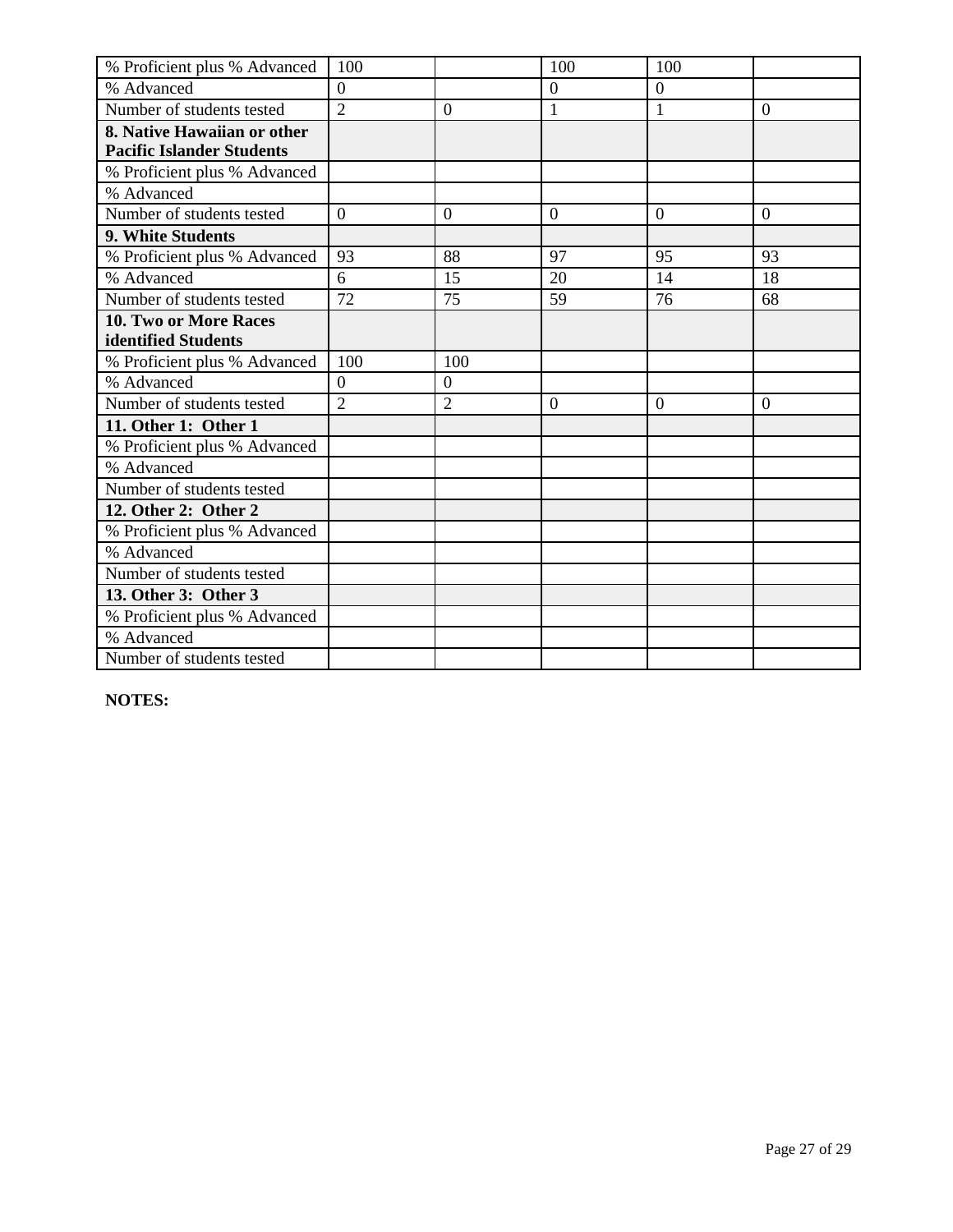| % Proficient plus % Advanced     | 100            |                | 100            | 100            |                |
|----------------------------------|----------------|----------------|----------------|----------------|----------------|
| % Advanced                       | $\overline{0}$ |                | $\overline{0}$ | $\overline{0}$ |                |
| Number of students tested        | $\overline{2}$ | $\theta$       | $\mathbf{1}$   | $\mathbf{1}$   | $\overline{0}$ |
| 8. Native Hawaiian or other      |                |                |                |                |                |
| <b>Pacific Islander Students</b> |                |                |                |                |                |
| % Proficient plus % Advanced     |                |                |                |                |                |
| % Advanced                       |                |                |                |                |                |
| Number of students tested        | $\overline{0}$ | $\theta$       | $\overline{0}$ | $\overline{0}$ | $\overline{0}$ |
| 9. White Students                |                |                |                |                |                |
| % Proficient plus % Advanced     | 93             | 88             | 97             | 95             | 93             |
| % Advanced                       | 6              | 15             | 20             | 14             | 18             |
| Number of students tested        | 72             | 75             | 59             | 76             | 68             |
| 10. Two or More Races            |                |                |                |                |                |
| identified Students              |                |                |                |                |                |
| % Proficient plus % Advanced     | 100            | 100            |                |                |                |
| % Advanced                       | $\overline{0}$ | $\overline{0}$ |                |                |                |
| Number of students tested        | $\overline{2}$ | $\overline{2}$ | $\Omega$       | $\Omega$       | $\overline{0}$ |
| 11. Other 1: Other 1             |                |                |                |                |                |
| % Proficient plus % Advanced     |                |                |                |                |                |
| % Advanced                       |                |                |                |                |                |
| Number of students tested        |                |                |                |                |                |
| 12. Other 2: Other 2             |                |                |                |                |                |
| % Proficient plus % Advanced     |                |                |                |                |                |
| % Advanced                       |                |                |                |                |                |
| Number of students tested        |                |                |                |                |                |
| 13. Other 3: Other 3             |                |                |                |                |                |
| % Proficient plus % Advanced     |                |                |                |                |                |
| % Advanced                       |                |                |                |                |                |
| Number of students tested        |                |                |                |                |                |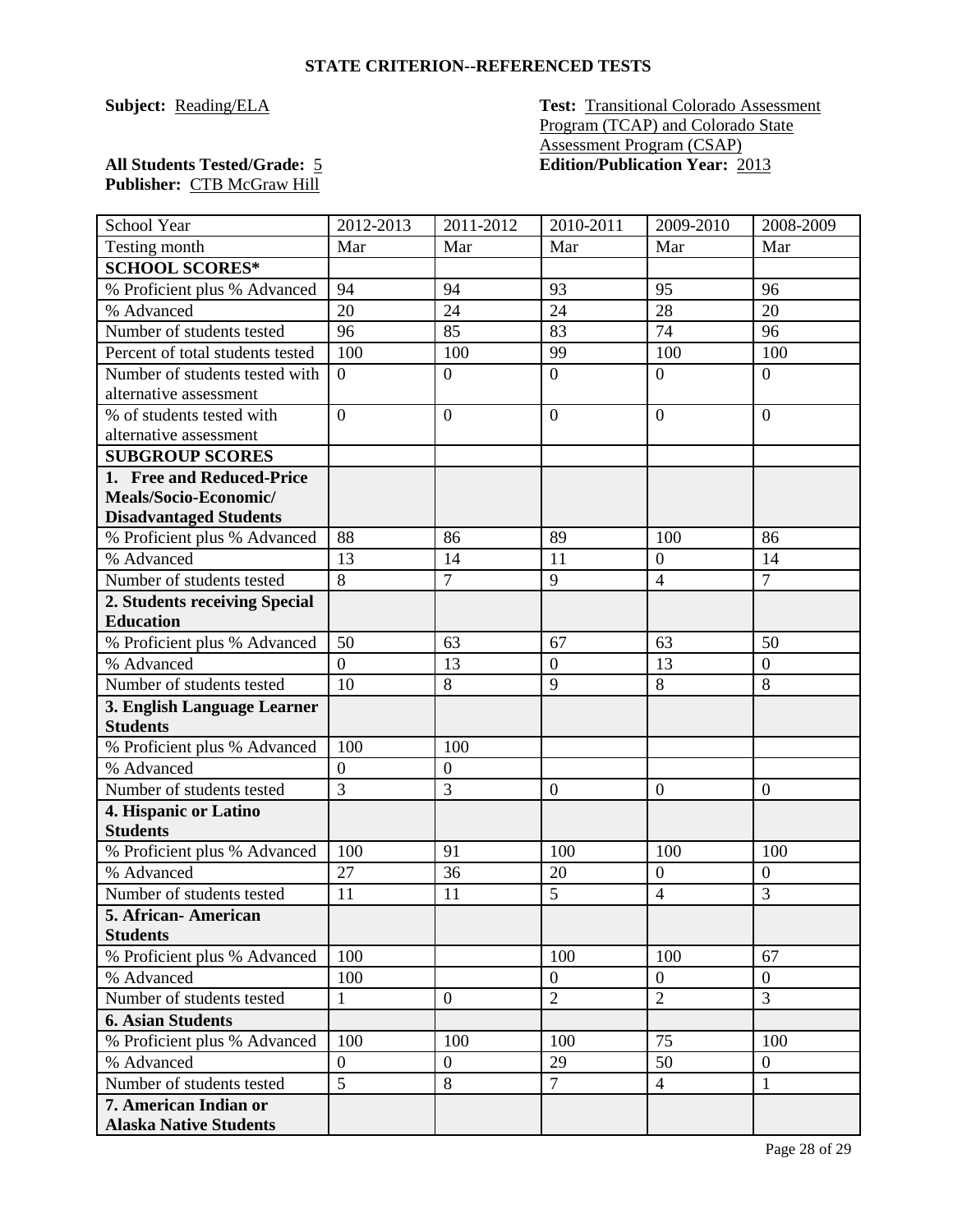**Subject: Reading/ELA Test:** Transitional Colorado Assessment Program (TCAP) and Colorado State Assessment Program (CSAP) **All Students Tested/Grade:** 5 **Edition/Publication Year:** 2013

| School Year                                     | 2012-2013                          | 2011-2012      | 2010-2011        | 2009-2010        | 2008-2009        |
|-------------------------------------------------|------------------------------------|----------------|------------------|------------------|------------------|
| Testing month                                   | Mar                                | Mar            | Mar              | Mar              | Mar              |
| <b>SCHOOL SCORES*</b>                           |                                    |                |                  |                  |                  |
| % Proficient plus % Advanced                    | 94                                 | 94             | 93               | 95               | 96               |
| % Advanced                                      | 20                                 | 24             | 24               | 28               | 20               |
| Number of students tested                       | 96                                 | 85             | 83               | 74               | 96               |
| Percent of total students tested                | 100                                | 100            | 99               | 100              | 100              |
| Number of students tested with                  | $\overline{0}$                     | $\overline{0}$ | $\overline{0}$   | $\overline{0}$   | $\overline{0}$   |
| alternative assessment                          |                                    |                |                  |                  |                  |
| % of students tested with                       | $\overline{0}$                     | $\overline{0}$ | $\overline{0}$   | $\overline{0}$   | $\overline{0}$   |
| alternative assessment                          |                                    |                |                  |                  |                  |
| <b>SUBGROUP SCORES</b>                          |                                    |                |                  |                  |                  |
| 1. Free and Reduced-Price                       |                                    |                |                  |                  |                  |
| Meals/Socio-Economic/                           |                                    |                |                  |                  |                  |
| <b>Disadvantaged Students</b>                   |                                    |                |                  |                  |                  |
| % Proficient plus % Advanced                    | 88                                 | 86             | 89               | 100              | 86               |
| % Advanced                                      | 13                                 | 14             | 11               | $\overline{0}$   | 14               |
| Number of students tested                       | $\overline{8}$                     | $\overline{7}$ | 9                | $\overline{4}$   | $\overline{7}$   |
| 2. Students receiving Special                   |                                    |                |                  |                  |                  |
| <b>Education</b>                                |                                    |                |                  |                  |                  |
| % Proficient plus % Advanced                    | 50                                 | 63             | 67               | 63               | 50               |
| % Advanced                                      | $\overline{0}$                     | 13             | $\boldsymbol{0}$ | 13               | $\boldsymbol{0}$ |
| Number of students tested                       | 10                                 | 8              | 9                | 8                | 8                |
| 3. English Language Learner                     |                                    |                |                  |                  |                  |
| <b>Students</b>                                 |                                    |                |                  |                  |                  |
| % Proficient plus % Advanced                    | 100                                | 100            |                  |                  |                  |
| % Advanced                                      | $\boldsymbol{0}$<br>$\overline{3}$ | $\overline{0}$ |                  |                  |                  |
| Number of students tested                       |                                    | $\overline{3}$ | $\overline{0}$   | $\boldsymbol{0}$ | $\overline{0}$   |
| 4. Hispanic or Latino                           |                                    |                |                  |                  |                  |
| <b>Students</b><br>% Proficient plus % Advanced | 100                                | 91             | 100              | 100              | 100              |
| % Advanced                                      | 27                                 | 36             | 20               | $\mathbf{0}$     | $\mathbf{0}$     |
| Number of students tested                       | 11                                 | 11             | 5                | 4                | 3                |
| 5. African-American                             |                                    |                |                  |                  |                  |
| <b>Students</b>                                 |                                    |                |                  |                  |                  |
| % Proficient plus % Advanced                    | 100                                |                | 100              | 100              | 67               |
| % Advanced                                      | 100                                |                | $\overline{0}$   | $\overline{0}$   | $\theta$         |
| Number of students tested                       | $\mathbf{1}$                       | $\overline{0}$ | $\sqrt{2}$       | $\overline{2}$   | 3                |
| <b>6. Asian Students</b>                        |                                    |                |                  |                  |                  |
| % Proficient plus % Advanced                    | 100                                | 100            | 100              | 75               | 100              |
| % Advanced                                      | $\overline{0}$                     | $\mathbf{0}$   | 29               | 50               | $\boldsymbol{0}$ |
| Number of students tested                       | $\overline{5}$                     | $\overline{8}$ | $\overline{7}$   | $\overline{4}$   | $\mathbf{1}$     |
| 7. American Indian or                           |                                    |                |                  |                  |                  |
| <b>Alaska Native Students</b>                   |                                    |                |                  |                  |                  |
|                                                 |                                    |                |                  |                  |                  |